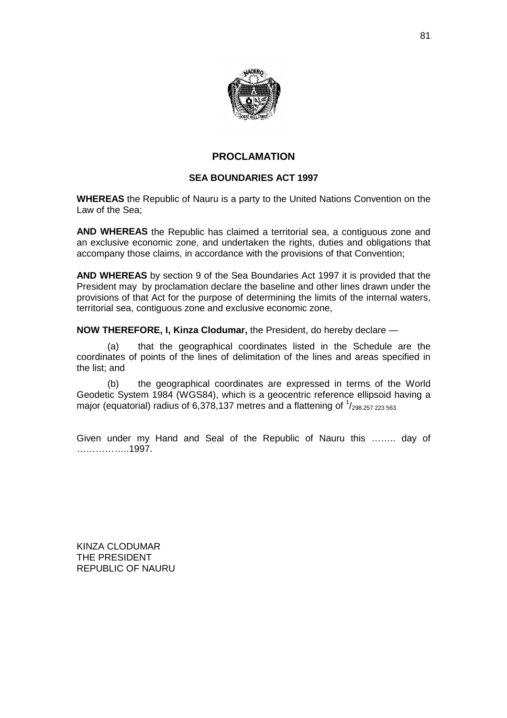

## **PROCLAMATION**

### **SEA BOUNDARIES ACT 1997**

**WHEREAS** the Republic of Nauru is a party to the United Nations Convention on the Law of the Sea;

**AND WHEREAS** the Republic has claimed a territorial sea, a contiguous zone and an exclusive economic zone, and undertaken the rights, duties and obligations that accompany those claims, in accordance with the provisions of that Convention;

**AND WHEREAS** by section 9 of the Sea Boundaries Act 1997 it is provided that the President may by proclamation declare the baseline and other lines drawn under the provisions of that Act for the purpose of determining the limits of the internal waters, territorial sea, contiguous zone and exclusive economic zone,

**NOW THEREFORE, I, Kinza Clodumar,** the President, do hereby declare —

(a) that the geographical coordinates listed in the Schedule are the coordinates of points of the lines of delimitation of the lines and areas specified in the list; and

(b) the geographical coordinates are expressed in terms of the World Geodetic System 1984 (WGS84), which is a geocentric reference ellipsoid having a major (equatorial) radius of 6,378,137 metres and a flattening of  $\frac{1}{298.257}$   $_{223}$   $_{563}$ .

Given under my Hand and Seal of the Republic of Nauru this …….. day of ……………..1997.

KINZA CLODUMAR THE PRESIDENT REPUBLIC OF NAURU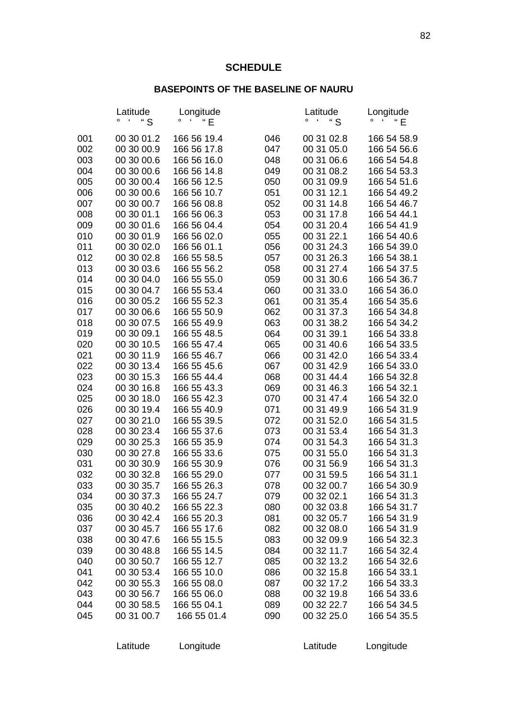# **SCHEDULE**

# **BASEPOINTS OF THE BASELINE OF NAURU**

|            | Latitude<br>" S<br>£     | Longitude<br>"E<br>$\pmb{\zeta}$ |            | Latitude<br>" S<br>£     | Longitude<br>£<br>" E      |
|------------|--------------------------|----------------------------------|------------|--------------------------|----------------------------|
| 001        | 00 30 01.2               | 166 56 19.4                      | 046        | 00 31 02.8               | 166 54 58.9                |
| 002<br>003 | 00 30 00.9<br>00 30 00.6 | 166 56 17.8<br>166 56 16.0       | 047<br>048 | 00 31 05.0<br>00 31 06.6 | 166 54 56.6<br>166 54 54.8 |
| 004        | 00 30 00.6               | 166 56 14.8                      | 049        | 00 31 08.2               | 166 54 53.3                |
| 005        | 00 30 00.4               | 166 56 12.5                      | 050        | 00 31 09.9               | 166 54 51.6                |
| 006        | 00 30 00.6               | 166 56 10.7                      | 051        | 00 31 12.1               | 166 54 49.2                |
| 007        | 00 30 00.7               | 166 56 08.8                      | 052        | 00 31 14.8               | 166 54 46.7                |
| 008        | 00 30 01.1               | 166 56 06.3                      | 053        | 00 31 17.8               | 166 54 44.1                |
| 009        | 00 30 01.6               | 166 56 04.4                      | 054        | 00 31 20.4               | 166 54 41.9                |
| 010        | 00 30 01.9               | 166 56 02.0                      | 055        | 00 31 22.1               | 166 54 40.6                |
| 011        | 00 30 02.0               | 166 56 01.1                      | 056        | 00 31 24.3               | 166 54 39.0                |
| 012        | 00 30 02.8               | 166 55 58.5                      | 057        | 00 31 26.3               | 166 54 38.1                |
| 013        | 00 30 03.6               | 166 55 56.2                      | 058        | 00 31 27.4               | 166 54 37.5                |
| 014<br>015 | 00 30 04.0<br>00 30 04.7 | 166 55 55.0<br>166 55 53.4       | 059<br>060 | 00 31 30.6<br>00 31 33.0 | 166 54 36.7<br>166 54 36.0 |
| 016        | 00 30 05.2               | 166 55 52.3                      | 061        | 00 31 35.4               | 166 54 35.6                |
| 017        | 00 30 06.6               | 166 55 50.9                      | 062        | 00 31 37.3               | 166 54 34.8                |
| 018        | 00 30 07.5               | 166 55 49.9                      | 063        | 00 31 38.2               | 166 54 34.2                |
| 019        | 00 30 09.1               | 166 55 48.5                      | 064        | 00 31 39.1               | 166 54 33.8                |
| 020        | 00 30 10.5               | 166 55 47.4                      | 065        | 00 31 40.6               | 166 54 33.5                |
| 021        | 00 30 11.9               | 166 55 46.7                      | 066        | 00 31 42.0               | 166 54 33.4                |
| 022        | 00 30 13.4               | 166 55 45.6                      | 067        | 00 31 42.9               | 166 54 33.0                |
| 023        | 00 30 15.3               | 166 55 44.4                      | 068        | 00 31 44.4               | 166 54 32.8                |
| 024        | 00 30 16.8               | 166 55 43.3                      | 069        | 00 31 46.3               | 166 54 32.1                |
| 025        | 00 30 18.0               | 166 55 42.3                      | 070        | 00 31 47.4               | 166 54 32.0                |
| 026<br>027 | 00 30 19.4<br>00 30 21.0 | 166 55 40.9<br>166 55 39.5       | 071<br>072 | 00 31 49.9<br>00 31 52.0 | 166 54 31.9<br>166 54 31.5 |
| 028        | 00 30 23.4               | 166 55 37.6                      | 073        | 00 31 53.4               | 166 54 31.3                |
| 029        | 00 30 25.3               | 166 55 35.9                      | 074        | 00 31 54.3               | 166 54 31.3                |
| 030        | 00 30 27.8               | 166 55 33.6                      | 075        | 00 31 55.0               | 166 54 31.3                |
| 031        | 00 30 30.9               | 166 55 30.9                      | 076        | 00 31 56.9               | 166 54 31.3                |
| 032        | 00 30 32.8               | 166 55 29.0                      | 077        | 00 31 59.5               | 166 54 31.1                |
| 033        | 00 30 35.7               | 166 55 26.3                      | 078        | 00 32 00.7               | 166 54 30.9                |
| 034        | 00 30 37.3               | 166 55 24.7                      | 079        | 00 32 02.1               | 166 54 31.3                |
| 035        | 00 30 40.2               | 166 55 22.3                      | 080        | 00 32 03.8               | 166 54 31.7                |
| 036        | 00 30 42.4               | 166 55 20.3                      | 081        | 00 32 05.7               | 166 54 31.9                |
| 037        | 00 30 45.7               | 166 55 17.6                      | 082        | 00 32 08.0               | 166 54 31.9                |
| 038<br>039 | 00 30 47.6<br>00 30 48.8 | 166 55 15.5<br>166 55 14.5       | 083<br>084 | 00 32 09.9<br>00 32 11.7 | 166 54 32.3<br>166 54 32.4 |
| 040        | 00 30 50.7               | 166 55 12.7                      | 085        | 00 32 13.2               | 166 54 32.6                |
| 041        | 00 30 53.4               | 166 55 10.0                      | 086        | 00 32 15.8               | 166 54 33.1                |
| 042        | 00 30 55.3               | 166 55 08.0                      | 087        | 00 32 17.2               | 166 54 33.3                |
| 043        | 00 30 56.7               | 166 55 06.0                      | 088        | 00 32 19.8               | 166 54 33.6                |
| 044        | 00 30 58.5               | 166 55 04.1                      | 089        | 00 32 22.7               | 166 54 34.5                |
| 045        | 00 31 00.7               | 166 55 01.4                      | 090        | 00 32 25.0               | 166 54 35.5                |
|            |                          |                                  |            |                          |                            |

Latitude Longitude **Latitude** Longitude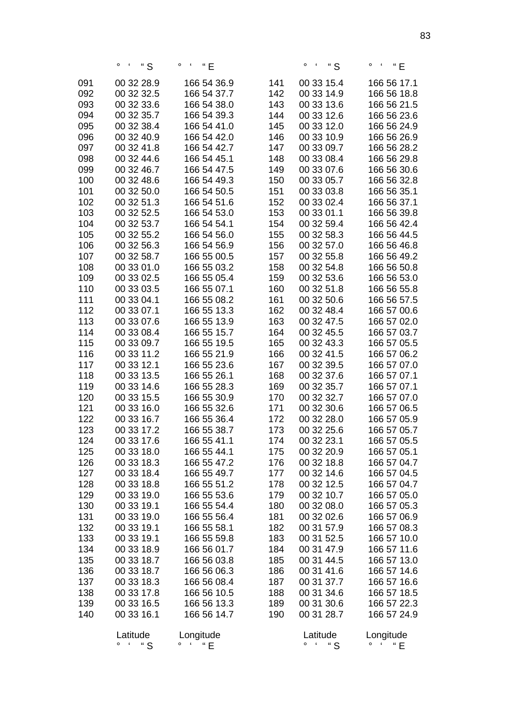|            | $\circ$ S                | $\circ$ $\cdot$ $\cdot$ $\cdot$ $\in$ |            | $\circ$ $\cdot$ "S                     | $\circ$ $\cdot$ $\cdot$ $\cdot$ $\in$ |
|------------|--------------------------|---------------------------------------|------------|----------------------------------------|---------------------------------------|
| 091        | 00 32 28.9               | 166 54 36.9                           | 141        | 00 33 15.4                             | 166 56 17.1                           |
| 092        | 00 32 32.5               | 166 54 37.7                           | 142        | 00 33 14.9                             | 166 56 18.8                           |
| 093        | 00 32 33.6               | 166 54 38.0                           | 143        | 00 33 13.6                             | 166 56 21.5                           |
| 094        | 00 32 35.7               | 166 54 39.3                           | 144        | 00 33 12.6                             | 166 56 23.6                           |
| 095        | 00 32 38.4               | 166 54 41.0                           | 145        | 00 33 12.0                             | 166 56 24.9                           |
| 096        | 00 32 40.9               | 166 54 42.0                           | 146        | 00 33 10.9                             | 166 56 26.9                           |
| 097        | 00 32 41.8               | 166 54 42.7                           | 147        | 00 33 09.7                             | 166 56 28.2                           |
| 098        | 00 32 44.6               | 166 54 45.1                           | 148        | 00 33 08.4                             | 166 56 29.8                           |
| 099        | 00 32 46.7               | 166 54 47.5                           | 149        | 00 33 07.6                             | 166 56 30.6                           |
| 100        | 00 32 48.6               | 166 54 49.3                           | 150        | 00 33 05.7                             | 166 56 32.8                           |
| 101        | 00 32 50.0               | 166 54 50.5                           | 151        | 00 33 03.8                             | 166 56 35.1                           |
| 102        | 00 32 51.3               | 166 54 51.6                           | 152        | 00 33 02.4                             | 166 56 37.1                           |
| 103        | 00 32 52.5               | 166 54 53.0                           | 153        | 00 33 01.1                             | 166 56 39.8                           |
| 104        | 00 32 53.7               | 166 54 54.1                           | 154        | 00 32 59.4                             | 166 56 42.4                           |
| 105        | 00 32 55.2               | 166 54 56.0                           | 155        | 00 32 58.3                             | 166 56 44.5                           |
| 106        | 00 32 56.3               | 166 54 56.9                           | 156        | 00 32 57.0                             | 166 56 46.8                           |
| 107        | 00 32 58.7               | 166 55 00.5                           | 157        | 00 32 55.8                             | 166 56 49.2                           |
| 108        | 00 33 01.0               | 166 55 03.2                           | 158        | 00 32 54.8                             | 166 56 50.8                           |
| 109        | 00 33 02.5               | 166 55 05.4                           | 159        | 00 32 53.6                             | 166 56 53.0                           |
| 110        | 00 33 03.5               | 166 55 07.1                           | 160        | 00 32 51.8                             | 166 56 55.8                           |
| 111        | 00 33 04.1               | 166 55 08.2                           | 161        | 00 32 50.6                             | 166 56 57.5                           |
| 112        | 00 33 07.1               | 166 55 13.3                           | 162        | 00 32 48.4                             | 166 57 00.6                           |
| 113        | 00 33 07.6               | 166 55 13.9                           | 163        | 00 32 47.5                             | 166 57 02.0                           |
| 114        | 00 33 08.4               | 166 55 15.7                           | 164        | 00 32 45.5                             | 166 57 03.7                           |
| 115        | 00 33 09.7               | 166 55 19.5                           | 165        | 00 32 43.3                             | 166 57 05.5                           |
| 116        | 00 33 11.2               | 166 55 21.9                           | 166        | 00 32 41.5                             | 166 57 06.2                           |
| 117        | 00 33 12.1               | 166 55 23.6                           | 167        | 00 32 39.5                             | 166 57 07.0                           |
| 118        | 00 33 13.5               | 166 55 26.1                           | 168        | 00 32 37.6                             | 166 57 07.1                           |
| 119        | 00 33 14.6               | 166 55 28.3                           | 169        | 00 32 35.7                             | 166 57 07.1                           |
| 120        | 00 33 15.5               | 166 55 30.9                           | 170        | 00 32 32.7                             | 166 57 07.0                           |
| 121        | 00 33 16.0               | 166 55 32.6                           | 171        | 00 32 30.6                             | 166 57 06.5                           |
| 122        | 00 33 16.7               | 166 55 36.4                           | 172        | 00 32 28.0                             | 166 57 05.9                           |
| 123        | 00 33 17.2               | 166 55 38.7                           | 173        | 00 32 25.6                             | 166 57 05.7                           |
| 124        | 00 33 17.6               | 166 55 41.1                           | 174        | 00 32 23.1                             | 166 57 05.5                           |
| 125        | 00 33 18.0               | 166 55 44.1                           | 175        | 00 32 20.9                             | 166 57 05.1                           |
| 126        | 00 33 18.3               | 166 55 47.2                           | 176        | 00 32 18.8                             | 166 57 04.7                           |
| 127        | 00 33 18.4               | 166 55 49.7                           | 177        | 00 32 14.6                             | 166 57 04.5                           |
| 128        | 00 33 18.8               | 166 55 51.2                           | 178        | 00 32 12.5                             | 166 57 04.7                           |
| 129        | 00 33 19.0               | 166 55 53.6                           | 179        | 00 32 10.7                             | 166 57 05.0                           |
| 130        | 00 33 19.1               | 166 55 54.4                           | 180        | 00 32 08.0                             | 166 57 05.3                           |
| 131        | 00 33 19.0               | 166 55 56.4                           | 181        | 00 32 02.6                             | 166 57 06.9                           |
| 132        | 00 33 19.1               | 166 55 58.1                           | 182        | 00 31 57.9                             | 166 57 08.3                           |
| 133        | 00 33 19.1               | 166 55 59.8                           | 183        | 00 31 52.5                             | 166 57 10.0                           |
| 134<br>135 | 00 33 18.9<br>00 33 18.7 | 166 56 01.7<br>166 56 03.8            | 184        | 00 31 47.9<br>00 31 44.5               | 166 57 11.6                           |
| 136        | 00 33 18.7               | 166 56 06.3                           | 185<br>186 | 00 31 41.6                             | 166 57 13.0<br>166 57 14.6            |
| 137        | 00 33 18.3               | 166 56 08.4                           | 187        | 00 31 37.7                             | 166 57 16.6                           |
| 138        | 00 33 17.8               | 166 56 10.5                           | 188        | 00 31 34.6                             | 166 57 18.5                           |
| 139        | 00 33 16.5               | 166 56 13.3                           | 189        | 00 31 30.6                             | 166 57 22.3                           |
| 140        | 00 33 16.1               | 166 56 14.7                           | 190        | 00 31 28.7                             | 166 57 24.9                           |
|            |                          |                                       |            |                                        |                                       |
|            | Latitude                 | Longitude                             |            | Latitude                               | Longitude                             |
|            | " S<br>۰                 | $0 \quad 1$<br>" E                    |            | " $S$<br>o<br>$\overline{\phantom{a}}$ | $0 \leftarrow 6$<br>" $E$             |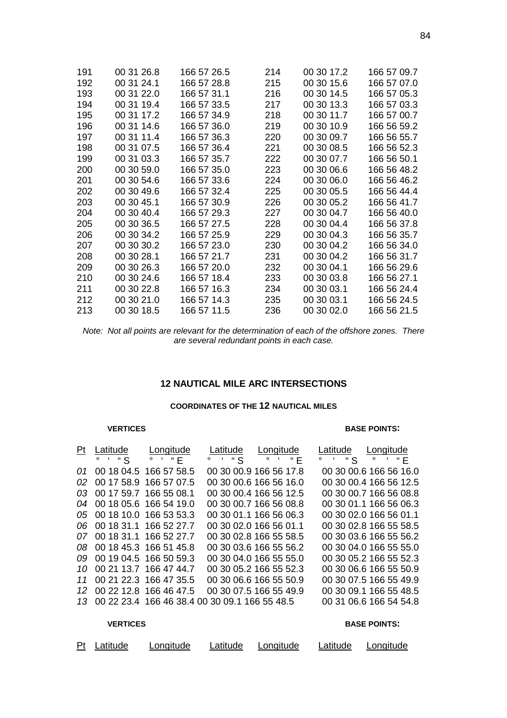| 191 | 00 31 26.8 | 166 57 26.5 | 214 | 00 30 17.2 | 166 57 09.7 |
|-----|------------|-------------|-----|------------|-------------|
| 192 | 00 31 24.1 | 166 57 28.8 | 215 | 00 30 15.6 | 166 57 07.0 |
| 193 | 00 31 22.0 | 166 57 31.1 | 216 | 00 30 14.5 | 166 57 05.3 |
| 194 | 00 31 19.4 | 166 57 33.5 | 217 | 00 30 13.3 | 166 57 03.3 |
| 195 | 00 31 17.2 | 166 57 34.9 | 218 | 00 30 11.7 | 166 57 00.7 |
| 196 | 00 31 14.6 | 166 57 36.0 | 219 | 00 30 10.9 | 166 56 59.2 |
| 197 | 00 31 11.4 | 166 57 36.3 | 220 | 00 30 09.7 | 166 56 55.7 |
| 198 | 00 31 07.5 | 166 57 36.4 | 221 | 00 30 08.5 | 166 56 52.3 |
| 199 | 00 31 03.3 | 166 57 35.7 | 222 | 00 30 07.7 | 166 56 50.1 |
| 200 | 00 30 59.0 | 166 57 35.0 | 223 | 00 30 06.6 | 166 56 48.2 |
| 201 | 00 30 54.6 | 166 57 33.6 | 224 | 00 30 06.0 | 166 56 46.2 |
| 202 | 00 30 49.6 | 166 57 32.4 | 225 | 00 30 05.5 | 166 56 44.4 |
| 203 | 00 30 45.1 | 166 57 30.9 | 226 | 00 30 05.2 | 166 56 41.7 |
| 204 | 00 30 40.4 | 166 57 29.3 | 227 | 00 30 04.7 | 166 56 40.0 |
| 205 | 00 30 36.5 | 166 57 27.5 | 228 | 00 30 04.4 | 166 56 37.8 |
| 206 | 00 30 34.2 | 166 57 25.9 | 229 | 00 30 04.3 | 166 56 35.7 |
| 207 | 00 30 30.2 | 166 57 23.0 | 230 | 00 30 04.2 | 166 56 34.0 |
| 208 | 00 30 28.1 | 166 57 21.7 | 231 | 00 30 04.2 | 166 56 31.7 |
| 209 | 00 30 26.3 | 166 57 20.0 | 232 | 00 30 04.1 | 166 56 29.6 |
| 210 | 00 30 24.6 | 166 57 18.4 | 233 | 00 30 03.8 | 166 56 27.1 |
| 211 | 00 30 22.8 | 166 57 16.3 | 234 | 00 30 03.1 | 166 56 24.4 |
| 212 | 00 30 21.0 | 166 57 14.3 | 235 | 00 30 03.1 | 166 56 24.5 |
| 213 | 00 30 18.5 | 166 57 11.5 | 236 | 00 30 02.0 | 166 56 21.5 |

*Note: Not all points are relevant for the determination of each of the offshore zones. There are several redundant points in each case.*

## **12 NAUTICAL MILE ARC INTERSECTIONS**

### **COORDINATES OF THE 12 NAUTICAL MILES**

#### **VERTICES BASE POINTS:**

|     | Pt Latitude                           | Longitude                 | Latitude                                         | Longitude                             | Latitude | Longitude              |
|-----|---------------------------------------|---------------------------|--------------------------------------------------|---------------------------------------|----------|------------------------|
|     | $\circ$ $\cdot$ "S $\circ$ $\cdot$ "E |                           |                                                  | $\circ$ $\cdot$ "S $\circ$ $\cdot$ "E |          | $4.48$ o $4.4E$        |
|     |                                       | 01 00 18 04.5 166 57 58.5 |                                                  | 00 30 00.9 166 56 17.8                |          | 00 30 00.6 166 56 16.0 |
|     |                                       | 02 00 17 58.9 166 57 07.5 |                                                  | 00 30 00.6 166 56 16.0                |          | 00 30 00.4 166 56 12.5 |
|     |                                       | 03 00 17 59.7 166 55 08.1 |                                                  | 00 30 00.4 166 56 12.5                |          | 00 30 00.7 166 56 08.8 |
|     |                                       | 04 00 18 05.6 166 54 19.0 |                                                  | 00 30 00.7 166 56 08.8                |          | 00 30 01.1 166 56 06.3 |
|     |                                       | 05 00 18 10.0 166 53 53.3 |                                                  | 00 30 01.1 166 56 06.3                |          | 00 30 02.0 166 56 01.1 |
|     |                                       | 06 00 18 31.1 166 52 27.7 |                                                  | 00 30 02.0 166 56 01.1                |          | 00 30 02.8 166 55 58.5 |
|     |                                       | 07 00 18 31.1 166 52 27.7 |                                                  | 00 30 02.8 166 55 58.5                |          | 00 30 03.6 166 55 56.2 |
| 08. |                                       | 00 18 45.3 166 51 45.8    |                                                  | 00 30 03.6 166 55 56.2                |          | 00 30 04.0 166 55 55.0 |
|     |                                       | 09 00 19 04.5 166 50 59.3 |                                                  | 00 30 04.0 166 55 55.0                |          | 00 30 05.2 166 55 52.3 |
| 10  |                                       | 00 21 13.7 166 47 44.7    |                                                  | 00 30 05.2 166 55 52.3                |          | 00 30 06.6 166 55 50.9 |
| 11  |                                       | 00 21 22.3 166 47 35.5    |                                                  | 00 30 06.6 166 55 50.9                |          | 00 30 07.5 166 55 49.9 |
|     |                                       | 12 00 22 12.8 166 46 47.5 |                                                  | 00 30 07.5 166 55 49.9                |          | 00 30 09.1 166 55 48.5 |
|     |                                       |                           | 13 00 22 23.4 166 46 38.4 00 30 09.1 166 55 48.5 |                                       |          | 00 31 06.6 166 54 54.8 |
|     |                                       |                           |                                                  |                                       |          |                        |

#### **VERTICES BASE POINTS:**

| Pt Latitude | Longitude | Latitude Longitude | Latitude Longitude |
|-------------|-----------|--------------------|--------------------|
|             |           |                    |                    |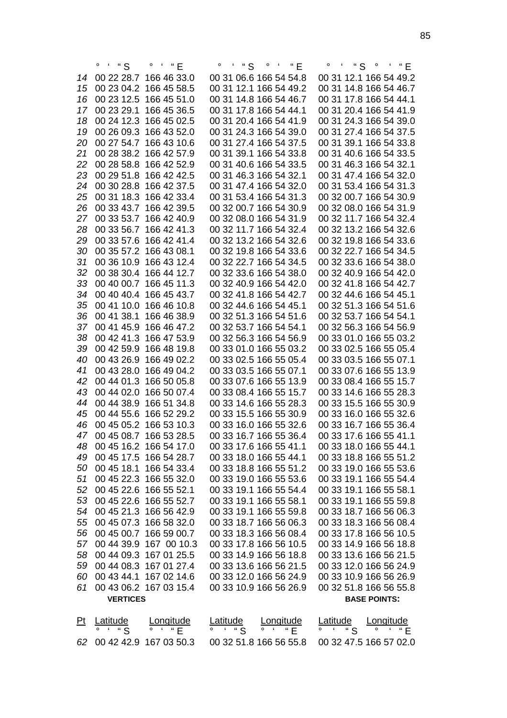|                |                 |                        |          |                        | 。。"    "    S   。    "    "    E |                        |
|----------------|-----------------|------------------------|----------|------------------------|----------------------------------|------------------------|
| 14             |                 | 00 22 28.7 166 46 33.0 |          | 00 31 06.6 166 54 54.8 |                                  | 00 31 12.1 166 54 49.2 |
| 15             |                 | 00 23 04.2 166 45 58.5 |          | 00 31 12.1 166 54 49.2 |                                  | 00 31 14.8 166 54 46.7 |
| 16             |                 | 00 23 12.5 166 45 51.0 |          | 00 31 14.8 166 54 46.7 |                                  | 00 31 17.8 166 54 44.1 |
| 17             |                 | 00 23 29.1 166 45 36.5 |          | 00 31 17.8 166 54 44.1 |                                  | 00 31 20.4 166 54 41.9 |
| 18             |                 | 00 24 12.3 166 45 02.5 |          | 00 31 20.4 166 54 41.9 |                                  | 00 31 24.3 166 54 39.0 |
| 19             |                 | 00 26 09.3 166 43 52.0 |          | 00 31 24.3 166 54 39.0 |                                  | 00 31 27.4 166 54 37.5 |
| 20             |                 | 00 27 54.7 166 43 10.6 |          | 00 31 27.4 166 54 37.5 |                                  | 00 31 39.1 166 54 33.8 |
| 21             |                 | 00 28 38.2 166 42 57.9 |          | 00 31 39.1 166 54 33.8 |                                  | 00 31 40.6 166 54 33.5 |
| 22             |                 |                        |          | 00 31 40.6 166 54 33.5 |                                  | 00 31 46.3 166 54 32.1 |
|                |                 | 00 28 58.8 166 42 52.9 |          |                        |                                  |                        |
| 23             |                 | 00 29 51.8 166 42 42.5 |          | 00 31 46.3 166 54 32.1 |                                  | 00 31 47.4 166 54 32.0 |
| 24             |                 | 00 30 28.8 166 42 37.5 |          | 00 31 47.4 166 54 32.0 |                                  | 00 31 53.4 166 54 31.3 |
| 25             |                 | 00 31 18.3 166 42 33.4 |          | 00 31 53.4 166 54 31.3 |                                  | 00 32 00.7 166 54 30.9 |
| 26             |                 | 00 33 43.7 166 42 39.5 |          | 00 32 00.7 166 54 30.9 |                                  | 00 32 08.0 166 54 31.9 |
| 27             |                 | 00 33 53.7 166 42 40.9 |          | 00 32 08.0 166 54 31.9 |                                  | 00 32 11.7 166 54 32.4 |
| 28             |                 | 00 33 56.7 166 42 41.3 |          | 00 32 11.7 166 54 32.4 |                                  | 00 32 13.2 166 54 32.6 |
| 29             |                 | 00 33 57.6 166 42 41.4 |          | 00 32 13.2 166 54 32.6 |                                  | 00 32 19.8 166 54 33.6 |
| 30             |                 | 00 35 57.2 166 43 08.1 |          | 00 32 19.8 166 54 33.6 |                                  | 00 32 22.7 166 54 34.5 |
| 31             |                 | 00 36 10.9 166 43 12.4 |          | 00 32 22.7 166 54 34.5 |                                  | 00 32 33.6 166 54 38.0 |
| 32             |                 | 00 38 30.4 166 44 12.7 |          | 00 32 33.6 166 54 38.0 |                                  | 00 32 40.9 166 54 42.0 |
| 33             |                 | 00 40 00.7 166 45 11.3 |          | 00 32 40.9 166 54 42.0 |                                  | 00 32 41.8 166 54 42.7 |
| 34             |                 | 00 40 40.4 166 45 43.7 |          | 00 32 41.8 166 54 42.7 |                                  | 00 32 44.6 166 54 45.1 |
| 35             |                 | 00 41 10.0 166 46 10.8 |          | 00 32 44.6 166 54 45.1 |                                  | 00 32 51.3 166 54 51.6 |
| 36             |                 | 00 41 38.1 166 46 38.9 |          | 00 32 51.3 166 54 51.6 |                                  | 00 32 53.7 166 54 54.1 |
| 37             |                 | 00 41 45.9 166 46 47.2 |          | 00 32 53.7 166 54 54.1 |                                  | 00 32 56.3 166 54 56.9 |
| 38             |                 | 00 42 41.3 166 47 53.9 |          | 00 32 56.3 166 54 56.9 |                                  | 00 33 01.0 166 55 03.2 |
| 39             |                 | 00 42 59.9 166 48 19.8 |          | 00 33 01.0 166 55 03.2 |                                  | 00 33 02.5 166 55 05.4 |
| 40             |                 | 00 43 26.9 166 49 02.2 |          | 00 33 02.5 166 55 05.4 |                                  | 00 33 03.5 166 55 07.1 |
| 41             |                 | 00 43 28.0 166 49 04.2 |          | 00 33 03.5 166 55 07.1 |                                  | 00 33 07.6 166 55 13.9 |
| 42             |                 | 00 44 01.3 166 50 05.8 |          | 00 33 07.6 166 55 13.9 |                                  | 00 33 08.4 166 55 15.7 |
| 43             |                 | 00 44 02.0 166 50 07.4 |          | 00 33 08.4 166 55 15.7 |                                  | 00 33 14.6 166 55 28.3 |
| 44             |                 | 00 44 38.9 166 51 34.8 |          | 00 33 14.6 166 55 28.3 |                                  |                        |
|                |                 |                        |          |                        |                                  | 00 33 15.5 166 55 30.9 |
| 45             |                 | 00 44 55.6 166 52 29.2 |          | 00 33 15.5 166 55 30.9 |                                  | 00 33 16.0 166 55 32.6 |
| 46             |                 | 00 45 05.2 166 53 10.3 |          | 00 33 16.0 166 55 32.6 |                                  | 00 33 16.7 166 55 36.4 |
| 47             |                 | 00 45 08.7 166 53 28.5 |          | 00 33 16.7 166 55 36.4 |                                  | 00 33 17.6 166 55 41.1 |
| 48             |                 | 00 45 16.2 166 54 17.0 |          | 00 33 17.6 166 55 41.1 |                                  | 00 33 18.0 166 55 44.1 |
| 49             |                 | 00 45 17.5 166 54 28.7 |          | 00 33 18.0 166 55 44.1 |                                  | 00 33 18.8 166 55 51.2 |
| 50             |                 | 00 45 18.1 166 54 33.4 |          | 00 33 18.8 166 55 51.2 |                                  | 00 33 19.0 166 55 53.6 |
| 51             |                 | 00 45 22.3 166 55 32.0 |          | 00 33 19.0 166 55 53.6 |                                  | 00 33 19.1 166 55 54.4 |
| 52             |                 | 00 45 22.6 166 55 52.1 |          | 00 33 19.1 166 55 54.4 |                                  | 00 33 19.1 166 55 58.1 |
| 53             |                 | 00 45 22.6 166 55 52.7 |          | 00 33 19.1 166 55 58.1 |                                  | 00 33 19.1 166 55 59.8 |
| 54             |                 | 00 45 21.3 166 56 42.9 |          | 00 33 19.1 166 55 59.8 |                                  | 00 33 18.7 166 56 06.3 |
| 55             |                 | 00 45 07.3 166 58 32.0 |          | 00 33 18.7 166 56 06.3 |                                  | 00 33 18.3 166 56 08.4 |
| 56             |                 | 00 45 00.7 166 59 00.7 |          | 00 33 18.3 166 56 08.4 |                                  | 00 33 17.8 166 56 10.5 |
| 57             |                 | 00 44 39.9 167 00 10.3 |          | 00 33 17.8 166 56 10.5 |                                  | 00 33 14.9 166 56 18.8 |
| 58             |                 | 00 44 09.3 167 01 25.5 |          | 00 33 14.9 166 56 18.8 |                                  | 00 33 13.6 166 56 21.5 |
| 59             |                 | 00 44 08.3 167 01 27.4 |          | 00 33 13.6 166 56 21.5 |                                  | 00 33 12.0 166 56 24.9 |
| 60             |                 | 00 43 44.1 167 02 14.6 |          | 00 33 12.0 166 56 24.9 |                                  | 00 33 10.9 166 56 26.9 |
| 61             |                 | 00 43 06.2 167 03 15.4 |          | 00 33 10.9 166 56 26.9 |                                  | 00 32 51.8 166 56 55.8 |
|                | <b>VERTICES</b> |                        |          |                        |                                  | <b>BASE POINTS:</b>    |
|                |                 |                        |          |                        |                                  |                        |
| P <sub>t</sub> | Latitude        | ongitude               | Latitude | Longitude              | Latitude                         | Longitude              |
|                | " S<br>o        | " E                    | " $S$    | " E                    | " $S$                            |                        |
|                |                 |                        |          |                        |                                  |                        |

00 42 42.9 167 03 50.3 00 32 51.8 166 56 55.8 00 32 47.5 166 57 02.0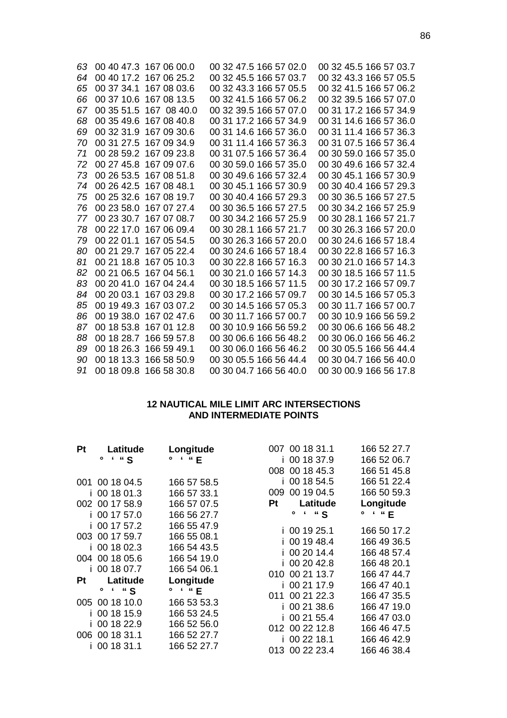| 63 |            | 00 40 47.3 167 06 00.0 | 00 32 47.5 166 57 02.0 | 00 32 45.5 166 57 03.7 |
|----|------------|------------------------|------------------------|------------------------|
| 64 |            | 00 40 17.2 167 06 25.2 | 00 32 45.5 166 57 03.7 | 00 32 43.3 166 57 05.5 |
| 65 |            | 00 37 34.1 167 08 03.6 | 00 32 43.3 166 57 05.5 | 00 32 41.5 166 57 06.2 |
| 66 |            | 00 37 10.6 167 08 13.5 | 00 32 41.5 166 57 06.2 | 00 32 39.5 166 57 07.0 |
| 67 |            | 00 35 51.5 167 08 40.0 | 00 32 39.5 166 57 07.0 | 00 31 17.2 166 57 34.9 |
| 68 |            | 00 35 49.6 167 08 40.8 | 00 31 17.2 166 57 34.9 | 00 31 14.6 166 57 36.0 |
| 69 |            | 00 32 31.9 167 09 30.6 | 00 31 14.6 166 57 36.0 | 00 31 11.4 166 57 36.3 |
| 70 |            | 00 31 27.5 167 09 34.9 | 00 31 11.4 166 57 36.3 | 00 31 07.5 166 57 36.4 |
| 71 |            | 00 28 59.2 167 09 23.8 | 00 31 07.5 166 57 36.4 | 00 30 59.0 166 57 35.0 |
| 72 |            | 00 27 45.8 167 09 07.6 | 00 30 59.0 166 57 35.0 | 00 30 49.6 166 57 32.4 |
| 73 |            | 00 26 53.5 167 08 51.8 | 00 30 49.6 166 57 32.4 | 00 30 45.1 166 57 30.9 |
| 74 |            | 00 26 42.5 167 08 48.1 | 00 30 45.1 166 57 30.9 | 00 30 40.4 166 57 29.3 |
| 75 |            | 00 25 32.6 167 08 19.7 | 00 30 40.4 166 57 29.3 | 00 30 36.5 166 57 27.5 |
| 76 |            | 00 23 58.0 167 07 27.4 | 00 30 36.5 166 57 27.5 | 00 30 34.2 166 57 25.9 |
| 77 |            | 00 23 30.7 167 07 08.7 | 00 30 34.2 166 57 25.9 | 00 30 28.1 166 57 21.7 |
| 78 |            | 00 22 17.0 167 06 09.4 | 00 30 28.1 166 57 21.7 | 00 30 26.3 166 57 20.0 |
| 79 | 00 22 01.1 | 167 05 54.5            | 00 30 26.3 166 57 20.0 | 00 30 24.6 166 57 18.4 |
| 80 |            | 00 21 29.7 167 05 22.4 | 00 30 24.6 166 57 18.4 | 00 30 22.8 166 57 16.3 |
| 81 |            | 00 21 18.8 167 05 10.3 | 00 30 22.8 166 57 16.3 | 00 30 21.0 166 57 14.3 |
| 82 |            | 00 21 06.5 167 04 56.1 | 00 30 21.0 166 57 14.3 | 00 30 18.5 166 57 11.5 |
| 83 |            | 00 20 41.0 167 04 24.4 | 00 30 18.5 166 57 11.5 | 00 30 17.2 166 57 09.7 |
| 84 |            | 00 20 03.1 167 03 29.8 | 00 30 17.2 166 57 09.7 | 00 30 14.5 166 57 05.3 |
| 85 |            | 00 19 49.3 167 03 07.2 | 00 30 14.5 166 57 05.3 | 00 30 11.7 166 57 00.7 |
| 86 |            | 00 19 38.0 167 02 47.6 | 00 30 11.7 166 57 00.7 | 00 30 10.9 166 56 59.2 |
| 87 |            | 00 18 53.8 167 01 12.8 | 00 30 10.9 166 56 59.2 | 00 30 06.6 166 56 48.2 |
| 88 |            | 00 18 28.7 166 59 57.8 | 00 30 06.6 166 56 48.2 | 00 30 06.0 166 56 46.2 |
| 89 |            | 00 18 26 3 166 59 49 1 | 00 30 06.0 166 56 46.2 | 00 30 05.5 166 56 44.4 |
| 90 |            | 00 18 13.3 166 58 50.9 | 00 30 05.5 166 56 44.4 | 00 30 04.7 166 56 40.0 |
| 91 |            | 00 18 09.8 166 58 30.8 | 00 30 04.7 166 56 40.0 | 00 30 00.9 166 56 17.8 |

### **12 NAUTICAL MILE LIMIT ARC INTERSECTIONS AND INTERMEDIATE POINTS**

| <b>Pt</b> | Latitude       | Longitude                    |    | 007 00 18 31.1               | 166 52 27.7                 |
|-----------|----------------|------------------------------|----|------------------------------|-----------------------------|
|           | . 4.<br>۰      | $^{\prime}$ " E<br>$\bullet$ |    | i 00 18 37.9                 | 166 52 06.7                 |
|           |                |                              |    | 008 00 18 45.3               | 166 51 45.8                 |
|           | 001 00 18 04.5 | 166 57 58.5                  |    | 00 18 54.5                   | 166 51 22.4                 |
|           | i 00 18 01.3   | 166 57 33.1                  |    | 009 00 19 04.5               | 166 50 59.3                 |
|           | 002 00 17 58.9 | 166 57 07.5                  | Pt | Latitude                     | Longitude                   |
|           | i 00 17 57.0   | 166 56 27.7                  |    | $\pmb{\epsilon}$<br>" S<br>۰ | $^{\prime}$ "E<br>$\bullet$ |
|           | i 00 17 57.2   | 166 55 47.9                  |    | i 00 19 25.1                 | 166 50 17.2                 |
|           | 003 00 17 59.7 | 166 55 08.1                  |    | 00 19 48.4                   | 166 49 36.5                 |
|           | i 00 18 02.3   | 166 54 43.5                  |    | 00 20 14.4                   | 166 48 57.4                 |
|           | 004 00 18 05.6 | 166 54 19.0                  |    | 00 20 42.8                   | 166 48 20.1                 |
|           | i 00 18 07.7   | 166 54 06.1                  |    | 010 00 21 13.7               |                             |
| Pt        | Latitude       | Longitude                    |    |                              | 166 47 44.7                 |
|           | $\circ$ S      | $\circ$ $\cdot$ "E           |    | i 00 21 17.9                 | 166 47 40.1                 |
|           | 005 00 18 10.0 | 166 53 53.3                  |    | 011 00 21 22.3               | 166 47 35.5                 |
|           | i 00 18 15.9   | 166 53 24.5                  |    | i 00 21 38.6                 | 166 47 19.0                 |
|           | i 00 18 22.9   | 166 52 56.0                  |    | i 00 21 55.4                 | 166 47 03.0                 |
|           | 006 00 18 31.1 | 166 52 27.7                  |    | 012 00 22 12.8               | 166 46 47.5                 |
|           | i 00 18 31.1   | 166 52 27.7                  |    | i 00 22 18.1                 | 166 46 42.9                 |
|           |                |                              |    | 013 00 22 23.4               | 166 46 38.4                 |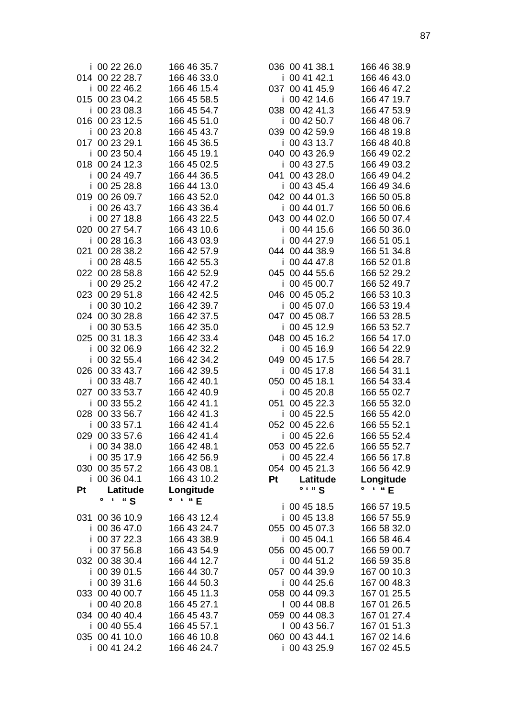| i 00 22 26.0<br>014 00 22 28.7 | 166 46 35.7<br>166 46 33.0         | 03              |
|--------------------------------|------------------------------------|-----------------|
| i 00 22 46.2                   | 166 46 15.4                        | 03              |
| 015 00 23 04.2                 | 166 45 58.5                        |                 |
| i 00 23 08.3                   | 166 45 54.7                        | 03              |
| 016 00 23 12.5<br>i 00 23 20.8 | 166 45 51.0<br>166 45 43.7         | 03              |
| 017 00 23 29.1                 | 166 45 36.5                        |                 |
| 00 23 50.4<br>i.               | 166 45 19.1                        | 04              |
| 018 00 24 12.3                 | 166 45 02.5                        |                 |
| i 00 24 49.7                   | 166 44 36.5                        | 04 <sup>1</sup> |
| i 00 25 28.8                   | 166 44 13.0                        |                 |
| 019 00 26 09.7<br>i 00 26 43.7 | 166 43 52.0<br>166 43 36.4         | 04              |
| i 00 27 18.8                   | 166 43 22.5                        | 04:             |
| 020 00 27 54.7                 | 166 43 10.6                        |                 |
| i 00 28 16.3                   | 166 43 03.9                        |                 |
| 021 00 28 38.2                 | 166 42 57.9                        | 04              |
| i 00 28 48.5                   | 166 42 55.3                        |                 |
| 022 00 28 58.8                 | 166 42 52.9                        | 04              |
| i 00 29 25.2<br>023 00 29 51.8 | 166 42 47.2<br>166 42 42.5         | 04              |
| i 00 30 10.2                   | 166 42 39.7                        |                 |
| 024 00 30 28.8                 | 166 42 37.5                        | 04              |
| 00 30 53.5<br>İ.               | 166 42 35.0                        |                 |
| 025 00 31 18.3                 | 166 42 33.4                        | 04              |
| i 00 32 06.9                   | 166 42 32.2                        |                 |
| i 00 32 55.4                   | 166 42 34.2                        | 04              |
| 026 00 33 43.7<br>i 00 33 48.7 | 166 42 39.5<br>166 42 40.1         | 05              |
| 027 00 33 53.7                 | 166 42 40.9                        |                 |
| 00 33 55.2<br>i.               | 166 42 41.1                        | 05 <sup>′</sup> |
| 028 00 33 56.7                 | 166 42 41.3                        |                 |
| 00 33 57.1<br>i.               | 166 42 41.4                        | 05              |
| 029 00 33 57.6                 | 166 42 41.4                        |                 |
| i 00 34 38.0                   | 166 42 48.1                        | 05:             |
| i 00 35 17.9<br>030 00 35 57.2 | 166 42 56.9<br>166 43 08.1         | 05 <sub>4</sub> |
| i 00 36 04.1                   | 166 43 10.2                        | Pt              |
| Pt<br>Latitude                 | Longitude                          |                 |
| $\epsilon$<br>" S<br>$\bullet$ | $\epsilon$ $\alpha$ E<br>$\bullet$ |                 |
| 031 00 36 10.9                 | 166 43 12.4                        |                 |
| i 00 36 47.0                   | 166 43 24.7                        | 05              |
| i 00 37 22.3                   | 166 43 38.9                        |                 |
| i 00 37 56.8                   | 166 43 54.9                        | 05              |
| 032 00 38 30.4<br>i 00 39 01.5 | 166 44 12.7<br>166 44 30.7         | 05              |
| i 00 39 31.6                   | 166 44 50.3                        |                 |
| 033 00 40 00.7                 | 166 45 11.3                        | 05              |
| i 00 40 20.8                   | 166 45 27.1                        |                 |
| 034 00 40 40.4                 | 166 45 43.7                        | 05              |
| i 00 40 55.4                   | 166 45 57.1                        |                 |
| 035 00 41 10.0<br>i 00 41 24.2 | 166 46 10.8<br>166 46 24.7         | 06              |
|                                |                                    |                 |

| i.<br>037 | 036 00 41 38.1<br>00 41 42.1<br>00 41 45.9       |            | 166 46 38.9<br>166 46 43.0<br>166 46 47.2 |  |
|-----------|--------------------------------------------------|------------|-------------------------------------------|--|
| i.<br>i.  | 00 42 14.6<br>038 00 42 41.3<br>00 42 50.7       |            | 166 47 19.7<br>166 47 53.9<br>166 48 06.7 |  |
| i         | 039 00 42 59.9<br>00 43 13.7<br>040 00 43 26.9   |            | 166 48 19.8<br>166 48 40.8<br>166 49 02.2 |  |
| i<br>i.   | 00 43 27.5<br>041 00 43 28.0<br>00 43 45.4       |            | 166 49 03.2<br>166 49 04.2<br>166 49 34.6 |  |
| i         | 042 00 44 01.3<br>00 44 01.7<br>043 00 44 02.0   |            | 166 50 05.8<br>166 50 06.6<br>166 50 07.4 |  |
| i<br>i    | 00 44 15.6<br>00 44 27.9                         |            | 166 50 36.0<br>166 51 05.1                |  |
| i         | 044 00 44 38.9<br>00 44 47.8<br>045 00 44 55.6   |            | 166 51 34.8<br>166 52 01.8<br>166 52 29.2 |  |
| i.<br>i.  | 00 45 00.7<br>046 00 45 05.2<br>00 45 07.0       |            | 166 52 49.7<br>166 53 10.3<br>166 53 19.4 |  |
| i         | 047 00 45 08.7<br>00 45 12.9                     |            | 166 53 28.5<br>166 53 52.7                |  |
| i         | 048 00 45 16.2<br>00 45 16.9<br>049 00 45 17.5   |            | 166 54 17.0<br>166 54 22.9<br>166 54 28.7 |  |
| i.<br>i.  | 00 45 17.8<br>050 00 45 18.1<br>00 45 20.8       |            | 166 54 31.1<br>166 54 33.4<br>166 55 02.7 |  |
| i         | 051 00 45 22.3<br>00 45 22.5<br>052 00 45 22.6   |            | 166 55 32.0<br>166 55 42.0<br>166 55 52.1 |  |
| i         | 053 00 45 22.6                                   | 00 45 22.6 | 166 55 52.4<br>166 55 52.7                |  |
| Pt        | i 00 45 22.4<br>054 00 45 21.3                   | Latitude   | 166 56 17.8<br>166 56 42.9<br>Longitude   |  |
|           | $\circ$ $\cdot$ " S<br>i 00 45 18.5              |            | " E<br>۰<br>$\epsilon$<br>166 57 19.5     |  |
|           | i 00 45 13.8<br>055 00 45 07.3<br>i 00 45 04.1   |            | 166 57 55.9<br>166 58 32.0<br>166 58 46.4 |  |
|           | 056 00 45 00.7<br>i 00 44 51.2                   |            | 166 59 00.7<br>166 59 35.8                |  |
|           | 057 00 44 39.9<br>i 00 44 25.6<br>058 00 44 09.3 |            | 167 00 10.3<br>167 00 48.3<br>167 01 25.5 |  |
|           | 00 44 08.8<br>059 00 44 08.3<br>  00 43 56.7     |            | 167 01 26.5<br>167 01 27.4<br>167 01 51.3 |  |
| i.        | 060 00 43 44.1<br>00 43 25.9                     |            | 167 02 14.6<br>167 02 45.5                |  |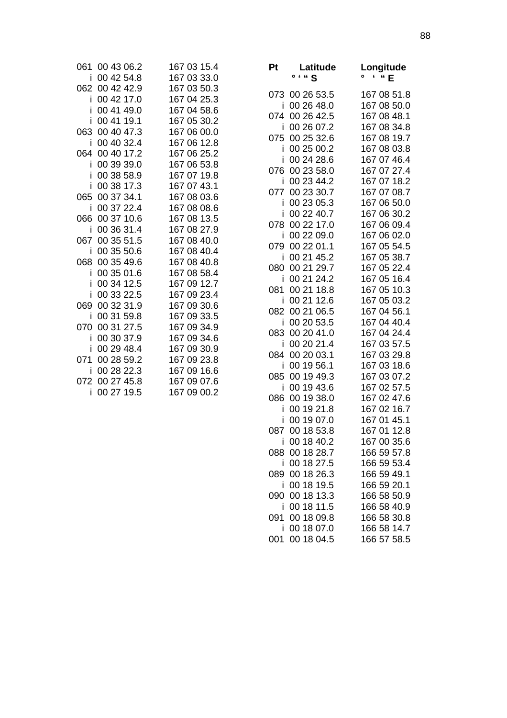| 061 | 00 43 06.2     | 167 03 15.4 |
|-----|----------------|-------------|
| i   | 00 42 54.8     | 167 03 33.0 |
|     | 062 00 42 42.9 | 167 03 50.3 |
| i   | 00 42 17.0     | 167 04 25.3 |
| i   | 00 41 49.0     | 167 04 58.6 |
| i   | 00 41 19.1     | 167 05 30.2 |
| 063 | 00 40 47.3     | 167 06 00.0 |
| i   | 00 40 32.4     | 167 06 12.8 |
| 064 | 00 40 17.2     | 167 06 25.2 |
| i   | 00 39 39.0     | 167 06 53.8 |
| i   | 00 38 58.9     | 167 07 19.8 |
| i   | 00 38 17.3     | 167 07 43.1 |
|     | 065 00 37 34.1 | 167 08 03.6 |
| i   | 00 37 22.4     | 167 08 08.6 |
| 066 | 00 37 10.6     | 167 08 13.5 |
| i   | 00 36 31.4     | 167 08 27.9 |
| 067 | 00 35 51.5     | 167 08 40.0 |
| i   | 00 35 50.6     | 167 08 40.4 |
| 068 | 00 35 49.6     | 167 08 40.8 |
| i   | 00 35 01.6     | 167 08 58.4 |
| i   | 00 34 12.5     | 167 09 12.7 |
| i   | 00 33 22.5     | 167 09 23.4 |
|     | 069 00 32 31.9 | 167 09 30.6 |
| i   | 00 31 59.8     | 167 09 33.5 |
| 070 | 00 31 27.5     | 167 09 34.9 |
| i   | 00 30 37.9     | 167 09 34.6 |
| i   | 00 29 48.4     | 167 09 30.9 |
|     | 071 00 28 59.2 | 167 09 23.8 |
| i   | 00 28 22.3     | 167 09 16.6 |
|     | 072 00 27 45.8 | 167 09 07.6 |
| i   | 00 27 19.5     | 167 09 00.2 |

| Pt            | Latitude<br>$\circ$ $\cdot$ " S          | Longitude<br>۰<br>' " E                   |
|---------------|------------------------------------------|-------------------------------------------|
|               | 073 00 26 53.5                           | 167 08 51.8<br>167 08 50.0                |
| Ĩ             | 00 26 48.0<br>074 00 26 42.5             | 167 08 48.1                               |
| i             | 00 26 07.2                               | 167 08 34.8                               |
| 075           | 00 25 32.6                               | 167 08 19.7                               |
| I             | 00 25 00.2                               | 167 08 03.8                               |
| i             | 00 24 28.6                               | 167 07 46.4                               |
| 076           | 00 23 58.0                               | 167 07 27.4                               |
| Ĩ             | 00 23 44.2                               | 167 07 18.2                               |
| 077           | 00 23 30.7                               | 167 07 08.7                               |
| I             | 00 23 05.3                               | 167 06 50.0                               |
| i<br>078      | 00 22 40.7<br>00 22 17.0<br>00 22 09.0   | 167 06 30.2<br>167 06 09.4<br>167 06 02.0 |
| Ĩ<br>079<br>i | 00 22 01.1<br>00 21 45.2                 | 167 05 54.5<br>167 05 38.7                |
| 080           | 00 21 29.7                               | 167 05 22.4                               |
| i             | 00 21 24.2                               | 167 05 16.4                               |
| 081           | 00 21 18.8                               | 167 05 10.3                               |
| i             | 00 21 12.6                               | 167 05 03.2                               |
| 082           | 00 21 06.5                               | 167 04 56.1                               |
| İ             | 00 20 53.5                               | 167 04 40.4                               |
| 083           | 00 20 41.0                               | 167 04 24.4                               |
| i             | 00 20 21.4                               | 167 03 57.5                               |
| 084           | 00 20 03.1                               | 167 03 29.8                               |
| i             | 00 19 56.1                               | 167 03 18.6                               |
| 085           | 00 19 49.3                               | 167 03 07.2                               |
| İ             | 00 19 43.6                               | 167 02 57.5                               |
| 086           | 00 19 38.0                               | 167 02 47.6                               |
| Ĩ             | 00 19 21.8                               | 167 02 16.7                               |
| i             | 00 19 07.0<br>087 00 18 53.8             | 167 01 45.1<br>167 01 12.8                |
| 088<br>ı      | i 00 18 40.2<br>00 18 28.7<br>00 18 27.5 | 167 00 35.6<br>166 59 57.8<br>166 59 53.4 |
| 089           | 00 18 26.3                               | 166 59 49.1                               |
| I             | 00 18 19.5                               | 166 59 20.1                               |
| 090           | 00 18 13.3                               | 166 58 50.9                               |
| Ĺ             | 00 18 11.5                               | 166 58 40.9                               |
| 091           | 00 18 09.8                               | 166 58 30.8                               |
| i             | 00 18 07.0                               | 166 58 14.7                               |
| 001           | 00 18 04.5                               | 166 57 58.5                               |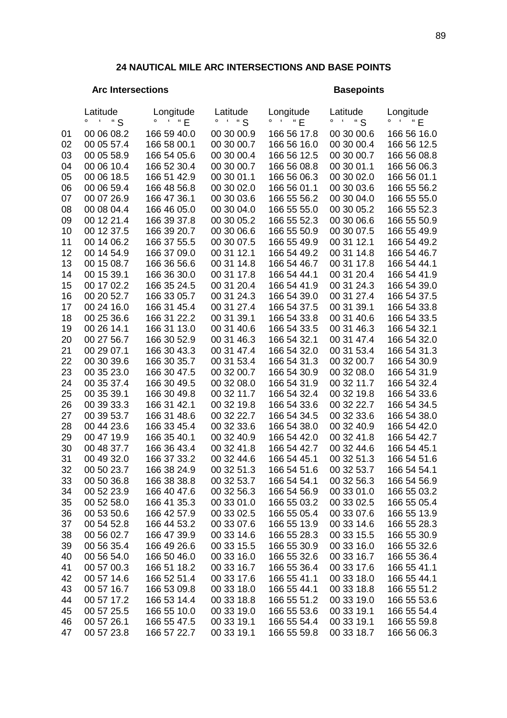## **24 NAUTICAL MILE ARC INTERSECTIONS AND BASE POINTS**

## Arc Intersections **Basepoints**

|    | Latitude<br>" S<br>$\pmb{\zeta}$<br>۰ | Longitude<br>$\cdot$ " E | Latitude<br>" S<br>۰ | Longitude<br>۰<br>$\pmb{\epsilon}$<br>"E" | Latitude<br>" S<br>o | Longitude<br>"E<br>$\circ$<br>$\pmb{\zeta}$ |
|----|---------------------------------------|--------------------------|----------------------|-------------------------------------------|----------------------|---------------------------------------------|
| 01 | 00 06 08.2                            | 166 59 40.0              | 00 30 00.9           | 166 56 17.8                               | 00 30 00.6           | 166 56 16.0                                 |
| 02 | 00 05 57.4                            | 166 58 00.1              | 00 30 00.7           | 166 56 16.0                               | 00 30 00.4           | 166 56 12.5                                 |
| 03 | 00 05 58.9                            | 166 54 05.6              | 00 30 00.4           | 166 56 12.5                               | 00 30 00.7           | 166 56 08.8                                 |
| 04 | 00 06 10.4                            | 166 52 30.4              | 00 30 00.7           | 166 56 08.8                               | 00 30 01.1           | 166 56 06.3                                 |
| 05 | 00 06 18.5                            | 166 51 42.9              | 00 30 01.1           | 166 56 06.3                               | 00 30 02.0           | 166 56 01.1                                 |
| 06 | 00 06 59.4                            | 166 48 56.8              | 00 30 02.0           | 166 56 01.1                               | 00 30 03.6           | 166 55 56.2                                 |
| 07 | 00 07 26.9                            | 166 47 36.1              | 00 30 03.6           | 166 55 56.2                               | 00 30 04.0           | 166 55 55.0                                 |
| 08 | 00 08 04.4                            | 166 46 05.0              | 00 30 04.0           | 166 55 55.0                               | 00 30 05.2           | 166 55 52.3                                 |
| 09 | 00 12 21.4                            | 166 39 37.8              | 00 30 05.2           | 166 55 52.3                               | 00 30 06.6           | 166 55 50.9                                 |
| 10 | 00 12 37.5                            | 166 39 20.7              | 00 30 06.6           | 166 55 50.9                               | 00 30 07.5           | 166 55 49.9                                 |
| 11 | 00 14 06.2                            | 166 37 55.5              | 00 30 07.5           | 166 55 49.9                               | 00 31 12.1           | 166 54 49.2                                 |
| 12 | 00 14 54.9                            | 166 37 09.0              | 00 31 12.1           | 166 54 49.2                               | 00 31 14.8           | 166 54 46.7                                 |
| 13 | 00 15 08.7                            | 166 36 56.6              | 00 31 14.8           | 166 54 46.7                               | 00 31 17.8           | 166 54 44.1                                 |
| 14 | 00 15 39.1                            | 166 36 30.0              | 00 31 17.8           | 166 54 44.1                               | 00 31 20.4           | 166 54 41.9                                 |
| 15 | 00 17 02.2                            | 166 35 24.5              | 00 31 20.4           | 166 54 41.9                               | 00 31 24.3           | 166 54 39.0                                 |
| 16 | 00 20 52.7                            | 166 33 05.7              | 00 31 24.3           | 166 54 39.0                               | 00 31 27.4           | 166 54 37.5                                 |
| 17 | 00 24 16.0                            | 166 31 45.4              | 00 31 27.4           | 166 54 37.5                               | 00 31 39.1           | 166 54 33.8                                 |
| 18 | 00 25 36.6                            | 166 31 22.2              | 00 31 39.1           | 166 54 33.8                               | 00 31 40.6           | 166 54 33.5                                 |
| 19 | 00 26 14.1                            | 166 31 13.0              | 00 31 40.6           | 166 54 33.5                               | 00 31 46.3           | 166 54 32.1                                 |
| 20 | 00 27 56.7                            | 166 30 52.9              | 00 31 46.3           | 166 54 32.1                               | 00 31 47.4           | 166 54 32.0                                 |
| 21 | 00 29 07.1                            | 166 30 43.3              | 00 31 47.4           | 166 54 32.0                               | 00 31 53.4           | 166 54 31.3                                 |
| 22 | 00 30 39.6                            | 166 30 35.7              | 00 31 53.4           | 166 54 31.3                               | 00 32 00.7           | 166 54 30.9                                 |
| 23 | 00 35 23.0                            | 166 30 47.5              | 00 32 00.7           | 166 54 30.9                               | 00 32 08.0           | 166 54 31.9                                 |
| 24 | 00 35 37.4                            | 166 30 49.5              | 00 32 08.0           | 166 54 31.9                               | 00 32 11.7           | 166 54 32.4                                 |
| 25 | 00 35 39.1                            | 166 30 49.8              | 00 32 11.7           | 166 54 32.4                               | 00 32 19.8           | 166 54 33.6                                 |
| 26 | 00 39 33.3                            | 166 31 42.1              | 00 32 19.8           | 166 54 33.6                               | 00 32 22.7           | 166 54 34.5                                 |
| 27 | 00 39 53.7                            | 166 31 48.6              | 00 32 22.7           | 166 54 34.5                               | 00 32 33.6           | 166 54 38.0                                 |
| 28 | 00 44 23.6                            | 166 33 45.4              | 00 32 33.6           | 166 54 38.0                               | 00 32 40.9           | 166 54 42.0                                 |
| 29 | 00 47 19.9                            | 166 35 40.1              | 00 32 40.9           | 166 54 42.0                               | 00 32 41.8           | 166 54 42.7                                 |
| 30 | 00 48 37.7                            | 166 36 43.4              | 00 32 41.8           | 166 54 42.7                               | 00 32 44.6           | 166 54 45.1                                 |
| 31 | 00 49 32.0                            | 166 37 33.2              | 00 32 44.6           | 166 54 45.1                               | 00 32 51.3           | 166 54 51.6                                 |
| 32 | 00 50 23.7                            | 166 38 24.9              | 00 32 51.3           | 166 54 51.6                               | 00 32 53.7           | 166 54 54.1                                 |
| 33 | 00 50 36.8                            | 166 38 38.8              | 00 32 53.7           | 166 54 54.1                               | 00 32 56.3           | 166 54 56.9                                 |
| 34 | 00 52 23.9                            | 166 40 47.6              | 00 32 56.3           | 166 54 56.9                               | 00 33 01.0           | 166 55 03.2                                 |
| 35 | 00 52 58.0                            | 166 41 35.3              | 00 33 01.0           | 166 55 03.2                               | 00 33 02.5           | 166 55 05.4                                 |
| 36 | 00 53 50.6                            | 166 42 57.9              | 00 33 02.5           | 166 55 05.4                               | 00 33 07.6           | 166 55 13.9                                 |
| 37 | 00 54 52.8                            | 166 44 53.2              | 00 33 07.6           | 166 55 13.9                               | 00 33 14.6           | 166 55 28.3                                 |
| 38 | 00 56 02.7                            | 166 47 39.9              | 00 33 14.6           | 166 55 28.3                               | 00 33 15.5           | 166 55 30.9                                 |
| 39 | 00 56 35.4                            | 166 49 26.6              | 00 33 15.5           | 166 55 30.9                               | 00 33 16.0           | 166 55 32.6                                 |
| 40 | 00 56 54.0                            | 166 50 46.0              | 00 33 16.0           | 166 55 32.6                               | 00 33 16.7           | 166 55 36.4                                 |
| 41 | 00 57 00.3                            | 166 51 18.2              | 00 33 16.7           | 166 55 36.4                               | 00 33 17.6           | 166 55 41.1                                 |
| 42 | 00 57 14.6                            | 166 52 51.4              | 00 33 17.6           | 166 55 41.1                               | 00 33 18.0           | 166 55 44.1                                 |
| 43 | 00 57 16.7                            | 166 53 09.8              | 00 33 18.0           | 166 55 44.1                               | 00 33 18.8           | 166 55 51.2                                 |
| 44 | 00 57 17.2                            | 166 53 14.4              | 00 33 18.8           | 166 55 51.2                               | 00 33 19.0           | 166 55 53.6                                 |
| 45 | 00 57 25.5                            | 166 55 10.0              | 00 33 19.0           | 166 55 53.6                               | 00 33 19.1           | 166 55 54.4                                 |
| 46 | 00 57 26.1                            | 166 55 47.5              | 00 33 19.1           | 166 55 54.4                               | 00 33 19.1           | 166 55 59.8                                 |
| 47 | 00 57 23.8                            | 166 57 22.7              | 00 33 19.1           | 166 55 59.8                               | 00 33 18.7           | 166 56 06.3                                 |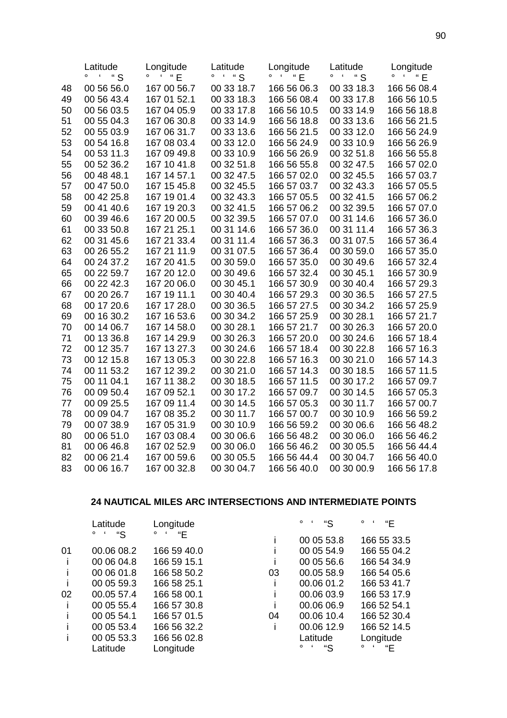|    | Latitude      | Longitude          | Latitude   | Longitude               | Latitude               | Longitude                                                                  |
|----|---------------|--------------------|------------|-------------------------|------------------------|----------------------------------------------------------------------------|
|    | " S<br>۰<br>f | $^{\sim}$ " E<br>۰ | 4.48       | ۰<br>$\mathbf{f}$<br>"E | " S<br>$\epsilon$<br>٥ | $\mathcal{L}$ $\mathcal{L}$ $\mathcal{L}$ $\mathcal{L}$ $\mathcal{L}$<br>۰ |
| 48 | 00 56 56.0    | 167 00 56.7        | 00 33 18.7 | 166 56 06.3             | 00 33 18.3             | 166 56 08.4                                                                |
| 49 | 00 56 43.4    | 167 01 52.1        | 00 33 18.3 | 166 56 08.4             | 00 33 17.8             | 166 56 10.5                                                                |
| 50 | 00 56 03.5    | 167 04 05.9        | 00 33 17.8 | 166 56 10.5             | 00 33 14.9             | 166 56 18.8                                                                |
| 51 | 00 55 04.3    | 167 06 30.8        | 00 33 14.9 | 166 56 18.8             | 00 33 13.6             | 166 56 21.5                                                                |
| 52 | 00 55 03.9    | 167 06 31.7        | 00 33 13.6 | 166 56 21.5             | 00 33 12.0             | 166 56 24.9                                                                |
| 53 | 00 54 16.8    | 167 08 03.4        | 00 33 12.0 | 166 56 24.9             | 00 33 10.9             | 166 56 26.9                                                                |
| 54 | 00 53 11.3    | 167 09 49.8        | 00 33 10.9 | 166 56 26.9             | 00 32 51.8             | 166 56 55.8                                                                |
| 55 | 00 52 36.2    | 167 10 41.8        | 00 32 51.8 | 166 56 55.8             | 00 32 47.5             | 166 57 02.0                                                                |
| 56 | 00 48 48.1    | 167 14 57.1        | 00 32 47.5 | 166 57 02.0             | 00 32 45.5             | 166 57 03.7                                                                |
| 57 | 00 47 50.0    | 167 15 45.8        | 00 32 45.5 | 166 57 03.7             | 00 32 43.3             | 166 57 05.5                                                                |
| 58 | 00 42 25.8    | 167 19 01.4        | 00 32 43.3 | 166 57 05.5             | 00 32 41.5             | 166 57 06.2                                                                |
| 59 | 00 41 40.6    | 167 19 20.3        | 00 32 41.5 | 166 57 06.2             | 00 32 39.5             | 166 57 07.0                                                                |
| 60 | 00 39 46.6    | 167 20 00.5        | 00 32 39.5 | 166 57 07.0             | 00 31 14.6             | 166 57 36.0                                                                |
| 61 | 00 33 50.8    | 167 21 25.1        | 00 31 14.6 | 166 57 36.0             | 00 31 11.4             | 166 57 36.3                                                                |
| 62 | 00 31 45.6    | 167 21 33.4        | 00 31 11.4 | 166 57 36.3             | 00 31 07.5             | 166 57 36.4                                                                |
| 63 | 00 26 55.2    | 167 21 11.9        | 00 31 07.5 | 166 57 36.4             | 00 30 59.0             | 166 57 35.0                                                                |
| 64 | 00 24 37.2    | 167 20 41.5        | 00 30 59.0 | 166 57 35.0             | 00 30 49.6             | 166 57 32.4                                                                |
| 65 | 00 22 59.7    | 167 20 12.0        | 00 30 49.6 | 166 57 32.4             | 00 30 45.1             | 166 57 30.9                                                                |
| 66 | 00 22 42.3    | 167 20 06.0        | 00 30 45.1 | 166 57 30.9             | 00 30 40.4             | 166 57 29.3                                                                |
| 67 | 00 20 26.7    | 167 19 11.1        | 00 30 40.4 | 166 57 29.3             | 00 30 36.5             | 166 57 27.5                                                                |
| 68 | 00 17 20.6    | 167 17 28.0        | 00 30 36.5 | 166 57 27.5             | 00 30 34.2             | 166 57 25.9                                                                |
| 69 | 00 16 30.2    | 167 16 53.6        | 00 30 34.2 | 166 57 25.9             | 00 30 28.1             | 166 57 21.7                                                                |
| 70 | 00 14 06.7    | 167 14 58.0        | 00 30 28.1 | 166 57 21.7             | 00 30 26.3             | 166 57 20.0                                                                |
| 71 | 00 13 36.8    | 167 14 29.9        | 00 30 26.3 | 166 57 20.0             | 00 30 24.6             | 166 57 18.4                                                                |
| 72 | 00 12 35.7    | 167 13 27.3        | 00 30 24.6 | 166 57 18.4             | 00 30 22.8             | 166 57 16.3                                                                |
| 73 | 00 12 15.8    | 167 13 05.3        | 00 30 22.8 | 166 57 16.3             | 00 30 21.0             | 166 57 14.3                                                                |
| 74 | 00 11 53.2    | 167 12 39.2        | 00 30 21.0 | 166 57 14.3             | 00 30 18.5             | 166 57 11.5                                                                |
| 75 | 00 11 04.1    | 167 11 38.2        | 00 30 18.5 | 166 57 11.5             | 00 30 17.2             | 166 57 09.7                                                                |
| 76 | 00 09 50.4    | 167 09 52.1        | 00 30 17.2 | 166 57 09.7             | 00 30 14.5             | 166 57 05.3                                                                |
| 77 | 00 09 25.5    | 167 09 11.4        | 00 30 14.5 | 166 57 05.3             | 00 30 11.7             | 166 57 00.7                                                                |
| 78 | 00 09 04.7    | 167 08 35.2        | 00 30 11.7 | 166 57 00.7             | 00 30 10.9             | 166 56 59.2                                                                |
| 79 | 00 07 38.9    | 167 05 31.9        | 00 30 10.9 | 166 56 59.2             | 00 30 06.6             | 166 56 48.2                                                                |
| 80 | 00 06 51.0    | 167 03 08.4        | 00 30 06.6 | 166 56 48.2             | 00 30 06.0             | 166 56 46.2                                                                |
| 81 | 00 06 46.8    | 167 02 52.9        | 00 30 06.0 | 166 56 46.2             | 00 30 05.5             | 166 56 44.4                                                                |
| 82 | 00 06 21.4    | 167 00 59.6        | 00 30 05.5 | 166 56 44.4             | 00 30 04.7             | 166 56 40.0                                                                |
| 83 | 00 06 16.7    | 167 00 32.8        | 00 30 04.7 | 166 56 40.0             | 00 30 00.9             | 166 56 17.8                                                                |

## **24 NAUTICAL MILES ARC INTERSECTIONS AND INTERMEDIATE POINTS**

|    | Latitude      | Longitude   |    | $\circ$<br>"S | "Е<br>۰       |
|----|---------------|-------------|----|---------------|---------------|
|    | "S<br>$\circ$ | "Е          |    | 00 05 53.8    | 166 55 33.5   |
| 01 | 00.06 08.2    | 166 59 40.0 |    | 00 05 54.9    | 166 55 04.2   |
|    | 00 06 04.8    | 166 59 15.1 | ı  | 00 05 56.6    | 166 54 34.9   |
|    | 00 06 01.8    | 166 58 50.2 | 03 | 00.05 58.9    | 166 54 05.6   |
|    | 00 05 59.3    | 166 58 25.1 |    | 00.06 01.2    | 166 53 41.7   |
| 02 | 00.05 57.4    | 166 58 00.1 |    | 00.06 03.9    | 166 53 17.9   |
|    | 00 05 55.4    | 166 57 30.8 |    | 00.06 06.9    | 166 52 54.1   |
|    | 00 05 54.1    | 166 57 01.5 | 04 | 00.06 10.4    | 166 52 30.4   |
|    | 00 05 53.4    | 166 56 32.2 |    | 00.06 12.9    | 166 52 14.5   |
|    | 00 05 53.3    | 166 56 02.8 |    | Latitude      | Longitude     |
|    | Latitude      | Longitude   |    | "S<br>$\circ$ | $\circ$<br>"Е |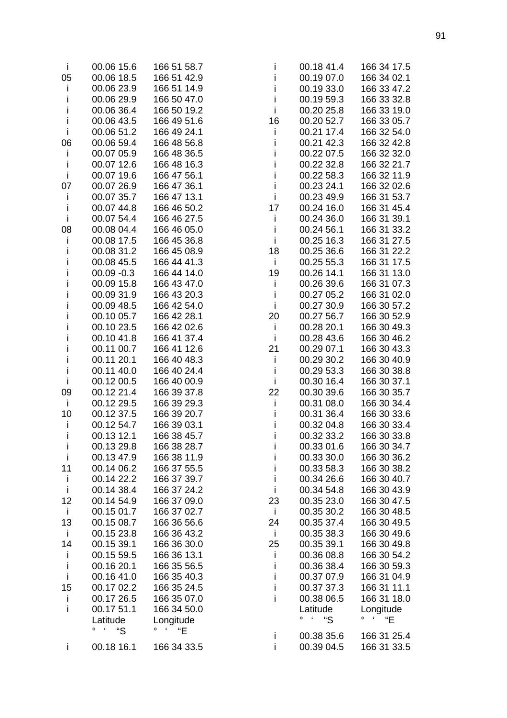| Ť                  | 00.06 15.6               | 166 51 58.7                       | Ť            | 00.18 41.4                     | 166 34 17.5                    |
|--------------------|--------------------------|-----------------------------------|--------------|--------------------------------|--------------------------------|
| 05                 | 00.06 18.5               | 166 51 42.9                       | j.           | 00.19 07.0                     | 166 34 02.1                    |
| Ť                  | 00.06 23.9               | 166 51 14.9                       | İ            | 00.19 33.0                     | 166 33 47.2                    |
| i                  | 00.06 29.9               | 166 50 47.0                       | j.           | 00.19 59.3                     | 166 33 32.8                    |
| i                  | 00.06 36.4               | 166 50 19.2                       | $\mathbf{i}$ | 00.20 25.8                     | 166 33 19.0                    |
| j.                 | 00.06 43.5               | 166 49 51.6                       | 16           | 00.20 52.7                     | 166 33 05.7                    |
| j.                 | 00.06 51.2               | 166 49 24.1                       | $\mathbf{i}$ | 00.21 17.4                     | 166 32 54.0                    |
| 06                 | 00.06 59.4               | 166 48 56.8                       | j.           | 00.21 42.3                     | 166 32 42.8                    |
| j.                 | 00.07 05.9               | 166 48 36.5                       | İ            | 00.22 07.5                     | 166 32 32.0                    |
| j.                 | 00.07 12.6               | 166 48 16.3                       | $\mathbf i$  | 00.22 32.8                     | 166 32 21.7                    |
| Ť                  | 00.07 19.6               | 166 47 56.1                       | $\mathbf i$  | 00.22 58.3                     | 166 32 11.9                    |
| 07                 | 00.07 26.9               | 166 47 36.1                       | $\mathbf{i}$ | 00.23 24.1                     | 166 32 02.6                    |
| İ                  | 00.07 35.7               | 166 47 13.1                       | $\mathbf{i}$ | 00.23 49.9                     | 166 31 53.7                    |
| j.                 | 00.07 44.8               | 166 46 50.2                       | 17           | 00.24 16.0                     | 166 31 45.4                    |
| j.                 | 00.07 54.4               | 166 46 27.5                       | $\mathbf{i}$ | 00.24 36.0                     | 166 31 39.1                    |
| 08                 | 00.08 04.4               | 166 46 05.0                       | $\mathbf{i}$ | 00.24 56.1                     | 166 31 33.2                    |
| Ť                  | 00.08 17.5               | 166 45 36.8                       | $\mathbf{i}$ | 00.25 16.3                     | 166 31 27.5                    |
| i.                 | 00.08 31.2               | 166 45 08.9                       | 18           | 00.25 36.6                     | 166 31 22.2                    |
| i                  | 00.08 45.5               | 166 44 41.3                       | $\mathbf{i}$ | 00.25 55.3                     | 166 31 17.5                    |
| i                  | $00.09 - 0.3$            | 166 44 14.0                       | 19           | 00.26 14.1                     | 166 31 13.0                    |
| i                  | 00.09 15.8               | 166 43 47.0                       | İ            | 00.26 39.6                     | 166 31 07.3                    |
| i                  | 00.09 31.9               | 166 43 20.3                       | $\mathbf{i}$ | 00.27 05.2                     | 166 31 02.0                    |
| i                  | 00.09 48.5               | 166 42 54.0                       | $\mathbf{i}$ | 00.27 30.9                     | 166 30 57.2                    |
| i                  | 00.10 05.7               | 166 42 28.1                       | 20           | 00.27 56.7                     | 166 30 52.9                    |
| i                  | 00.10 23.5               | 166 42 02.6                       | $\mathbf{i}$ | 00.28 20.1                     | 166 30 49.3                    |
| i.                 | 00.10 41.8               | 166 41 37.4                       | $\mathbf{i}$ | 00.28 43.6                     | 166 30 46.2                    |
| i                  | 00.11 00.7               | 166 41 12.6                       | 21           | 00.29 07.1                     | 166 30 43.3                    |
| i                  | 00.11 20.1               | 166 40 48.3                       | $\mathbf{i}$ | 00.29 30.2                     | 166 30 40.9                    |
| i                  | 00.11 40.0               | 166 40 24.4                       | $\mathbf i$  | 00.29 53.3                     | 166 30 38.8                    |
| j.                 | 00.12 00.5               | 166 40 00.9                       | $\mathbf{i}$ | 00.30 16.4                     | 166 30 37.1                    |
| 09                 | 00.12 21.4               | 166 39 37.8                       | 22           | 00.30 39.6                     | 166 30 35.7                    |
| j.                 | 00.12 29.5               | 166 39 29.3                       | $\mathbf{i}$ | 00.31 08.0                     | 166 30 34.4                    |
| 10                 | 00.12 37.5               | 166 39 20.7                       | $\mathbf{i}$ | 00.31 36.4                     | 166 30 33.6                    |
| j.                 | 00.12 54.7               | 166 39 03.1                       | İ            | 00.32 04.8                     | 166 30 33.4                    |
| i                  | 00.13 12.1               | 166 38 45.7                       | İ            | 00.32 33.2                     | 166 30 33.8                    |
| L                  | 00.13 29.8               | 166 38 28.7                       | L            | 00.33 01.6                     | 166 30 34.7                    |
| i                  | 00.13 47.9               | 166 38 11.9                       | i            | 00.33 30.0                     | 166 30 36.2                    |
| 11                 | 00.14 06.2               | 166 37 55.5                       | Ť            | 00.33 58.3                     | 166 30 38.2                    |
| j.                 | 00.14 22.2               | 166 37 39.7                       | i            | 00.34 26.6                     | 166 30 40.7                    |
| j.                 | 00.14 38.4               | 166 37 24.2                       | j.           | 00.34 54.8                     | 166 30 43.9                    |
| 12<br>$\mathbf{i}$ | 00.14 54.9<br>00.15 01.7 | 166 37 09.0<br>166 37 02.7        | 23<br>j.     | 00.35 23.0                     | 166 30 47.5                    |
| 13                 | 00.15 08.7               | 166 36 56.6                       |              | 00.35 30.2<br>00.35 37.4       | 166 30 48.5<br>166 30 49.5     |
| j.                 | 00.15 23.8               | 166 36 43.2                       | 24<br>j.     | 00.35 38.3                     | 166 30 49.6                    |
| 14                 | 00.15 39.1               | 166 36 30.0                       | 25           | 00.35 39.1                     | 166 30 49.8                    |
| Ť                  | 00.15 59.5               | 166 36 13.1                       | Ť            | 00.36 08.8                     | 166 30 54.2                    |
| j.                 | 00.16 20.1               | 166 35 56.5                       | i            | 00.36 38.4                     | 166 30 59.3                    |
| j.                 | 00.16 41.0               | 166 35 40.3                       | i.           | 00.37 07.9                     | 166 31 04.9                    |
| 15                 | 00.17 02.2               | 166 35 24.5                       | i.           | 00.37 37.3                     | 166 31 11.1                    |
| j.                 | 00.17 26.5               | 166 35 07.0                       | i            | 00.38 06.5                     | 166 31 18.0                    |
| i.                 | 00.17 51.1               | 166 34 50.0                       |              | Latitude                       | Longitude                      |
|                    | Latitude                 | Longitude                         |              | $\circ$<br>$\pmb{\zeta}$<br>"S | $\sim$ 6.000 $\sim$<br>۰<br>"E |
|                    | $\circ$<br>"S            | $\pmb{\epsilon}$<br>$\circ$<br>"E |              |                                |                                |
|                    |                          |                                   | j.           | 00.38 35.6                     | 166 31 25.4                    |
| j.                 | 00.18 16.1               | 166 34 33.5                       | i            | 00.39 04.5                     | 166 31 33.5                    |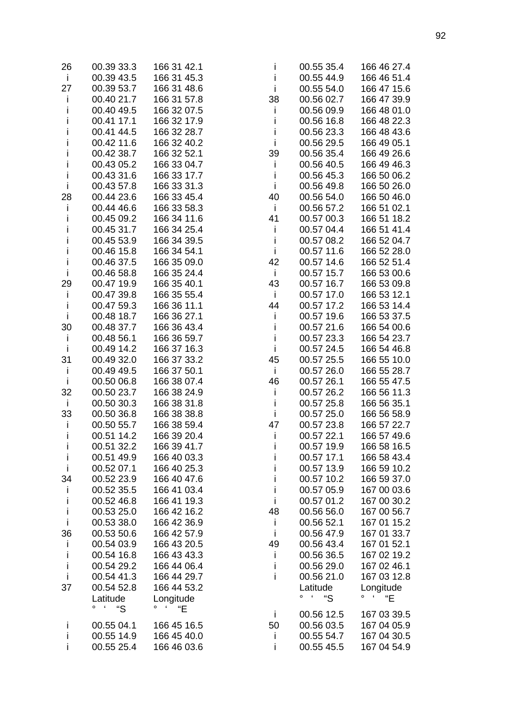| 26           | 00.39 33.3                              | 166 31 42.1                              | İ            | 00.55 35.4             | 166 46 27.4                   |
|--------------|-----------------------------------------|------------------------------------------|--------------|------------------------|-------------------------------|
| $\mathbf{i}$ | 00.39 43.5                              | 166 31 45.3                              | i            | 00.55 44.9             | 166 46 51.4                   |
| 27           | 00.39 53.7                              | 166 31 48.6                              | $\mathbf{i}$ | 00.55 54.0             | 166 47 15.6                   |
| j.           | 00.40 21.7                              | 166 31 57.8                              | 38           | 00.56 02.7             | 166 47 39.9                   |
| i            | 00.40 49.5                              | 166 32 07.5                              | j.           | 00.56 09.9             | 166 48 01.0                   |
| i            | 00.41 17.1                              | 166 32 17.9                              | İ            | 00.56 16.8             | 166 48 22.3                   |
| i            | 00.41 44.5                              | 166 32 28.7                              | j.           | 00.56 23.3             | 166 48 43.6                   |
| i            | 00.42 11.6                              | 166 32 40.2                              | $\mathbf{i}$ | 00.56 29.5             | 166 49 05.1                   |
| i            | 00.42 38.7                              | 166 32 52.1                              | 39           | 00.56 35.4             | 166 49 26.6                   |
| i            | 00.43 05.2                              | 166 33 04.7                              | j.           | 00.56 40.5             | 166 49 46.3                   |
| j.           | 00.43 31.6                              | 166 33 17.7                              | $\mathbf{i}$ | 00.56 45.3             | 166 50 06.2                   |
| Ť            | 00.43 57.8                              | 166 33 31.3                              | $\mathbf{i}$ | 00.56 49.8             | 166 50 26.0                   |
| 28           | 00.44 23.6                              | 166 33 45.4                              | 40           | 00.56 54.0             | 166 50 46.0                   |
|              | 00.44 46.6                              | 166 33 58.3                              | $\mathbf{i}$ | 00.56 57.2             | 166 51 02.1                   |
| j.           |                                         |                                          |              |                        |                               |
| i            | 00.45 09.2                              | 166 34 11.6                              | 41           | 00.57 00.3             | 166 51 18.2                   |
| i            | 00.45 31.7                              | 166 34 25.4                              | j.           | 00.57 04.4             | 166 51 41.4                   |
| i            | 00.45 53.9                              | 166 34 39.5                              | $\mathbf{i}$ | 00.57 08.2             | 166 52 04.7                   |
| i            | 00.46 15.8                              | 166 34 54.1                              | $\mathbf{i}$ | 00.57 11.6             | 166 52 28.0                   |
| $\mathbf{i}$ | 00.46 37.5                              | 166 35 09.0                              | 42           | 00.57 14.6             | 166 52 51.4                   |
| Ť            | 00.46 58.8                              | 166 35 24.4                              | j.           | 00.57 15.7             | 166 53 00.6                   |
| 29           | 00.47 19.9                              | 166 35 40.1                              | 43           | 00.57 16.7             | 166 53 09.8                   |
| İ            | 00.47 39.8                              | 166 35 55.4                              | $\mathbf{i}$ | 00.57 17.0             | 166 53 12.1                   |
| İ            | 00.47 59.3                              | 166 36 11.1                              | 44           | 00.57 17.2             | 166 53 14.4                   |
| j.           | 00.48 18.7                              | 166 36 27.1                              | Ť            | 00.57 19.6             | 166 53 37.5                   |
| 30           | 00.48 37.7                              | 166 36 43.4                              | $\mathbf{i}$ | 00.57 21.6             | 166 54 00.6                   |
| j.           | 00.48 56.1                              | 166 36 59.7                              | $\mathbf{i}$ | 00.57 23.3             | 166 54 23.7                   |
| $\mathbf{i}$ | 00.49 14.2                              | 166 37 16.3                              | $\mathbf{i}$ | 00.57 24.5             | 166 54 46.8                   |
| 31           | 00.49 32.0                              | 166 37 33.2                              | 45           | 00.57 25.5             | 166 55 10.0                   |
| j.           | 00.49 49.5                              | 166 37 50.1                              | $\mathbf{i}$ | 00.57 26.0             | 166 55 28.7                   |
| j.           | 00.50 06.8                              | 166 38 07.4                              | 46           | 00.57 26.1             | 166 55 47.5                   |
| 32           | 00.50 23.7                              | 166 38 24.9                              | $\mathbf{i}$ | 00.57 26.2             | 166 56 11.3                   |
| j.           | 00.50 30.3                              | 166 38 31.8                              | j.           | 00.57 25.8             | 166 56 35.1                   |
| 33           | 00.50 36.8                              | 166 38 38.8                              | $\mathbf{i}$ | 00.57 25.0             | 166 56 58.9                   |
| j.           | 00.50 55.7                              | 166 38 59.4                              | 47           | 00.57 23.8             | 166 57 22.7                   |
| i            | 00.51 14.2                              | 166 39 20.4                              | i            | 00.57 22.1             | 166 57 49.6                   |
| L            | 00.51 32.2                              | 166 39 41.7                              | L            | 00.57 19.9             | 166 58 16.5                   |
| Ť            | 00.51 49.9                              | 166 40 03.3                              |              | 00.57 17.1             | 166 58 43.4                   |
| Ť            | 00.52 07.1                              | 166 40 25.3                              |              | 00.57 13.9             | 166 59 10.2                   |
| 34           | 00.52 23.9                              | 166 40 47.6                              |              | 00.57 10.2             | 166 59 37.0                   |
| Ť            | 00.52 35.5                              | 166 41 03.4                              | Ť            | 00.57 05.9             | 167 00 03.6                   |
| i            | 00.52 46.8                              | 166 41 19.3                              | Ť            | 00.57 01.2             | 167 00 30.2                   |
| $\mathbf{i}$ | 00.53 25.0                              | 166 42 16.2                              | 48           | 00.56 56.0             | 167 00 56.7                   |
| $\mathbf{i}$ | 00.53 38.0                              | 166 42 36.9                              | j.           | 00.56 52.1             | 167 01 15.2                   |
| 36           | 00.53 50.6                              | 166 42 57.9                              | Ť            | 00.56 47.9             | 167 01 33.7                   |
|              | 00.54 03.9                              | 166 43 20.5                              | 49           | 00.56 43.4             | 167 01 52.1                   |
| Ť<br>i       | 00.54 16.8                              | 166 43 43.3                              |              | 00.56 36.5             | 167 02 19.2                   |
| İ            |                                         |                                          | T            |                        |                               |
| Ť            | 00.54 29.2                              | 166 44 06.4                              | İ<br>i       | 00.56 29.0             | 167 02 46.1                   |
|              | 00.54 41.3                              | 166 44 29.7                              |              | 00.56 21.0             | 167 03 12.8                   |
| 37           | 00.54 52.8                              | 166 44 53.2                              |              | Latitude<br>$0 \leq k$ | Longitude<br>$0 \leftarrow 1$ |
|              | Latitude<br>$\pmb{\epsilon}$<br>$\circ$ | Longitude<br>$\pmb{\epsilon}$<br>$\circ$ |              | "S                     | "E"                           |
|              | "S                                      | "E"                                      | j.           | 00.56 12.5             | 167 03 39.5                   |
| j.           | 00.55 04.1                              | 166 45 16.5                              | 50           | 00.56 03.5             | 167 04 05.9                   |
| i            | 00.55 14.9                              | 166 45 40.0                              | Ť            | 00.55 54.7             | 167 04 30.5                   |
|              | 00.55 25.4                              | 166 46 03.6                              | i            | 00.55 45.5             | 167 04 54.9                   |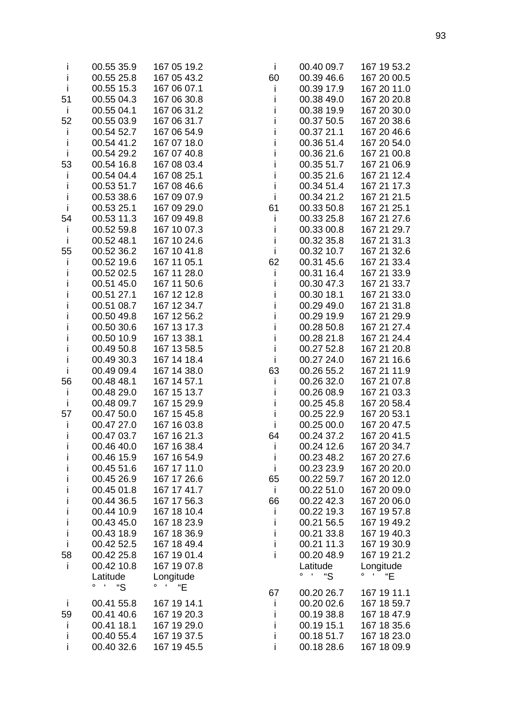| $\mathbf{I}$ | 00.55 35.9                                | 167 05 19.2                                         | $\mathbf{I}$ | 00.40 09.7        | 167 19 53.2                       |
|--------------|-------------------------------------------|-----------------------------------------------------|--------------|-------------------|-----------------------------------|
| Ť            | 00.55 25.8                                | 167 05 43.2                                         | 60           | 00.39 46.6        | 167 20 00.5                       |
| İ            | 00.55 15.3                                | 167 06 07.1                                         | j.           | 00.39 17.9        | 167 20 11.0                       |
| 51           | 00.55 04.3                                | 167 06 30.8                                         |              | 00.38 49.0        | 167 20 20.8                       |
| Ť            | 00.55 04.1                                | 167 06 31.2                                         |              | 00.38 19.9        | 167 20 30.0                       |
|              |                                           |                                                     | Ť            |                   |                                   |
| 52           | 00.55 03.9                                | 167 06 31.7                                         | i            | 00.37 50.5        | 167 20 38.6                       |
| i            | 00.54 52.7                                | 167 06 54.9                                         | İ            | 00.37 21.1        | 167 20 46.6                       |
| İ            | 00.54 41.2                                | 167 07 18.0                                         | İ            | 00.36 51.4        | 167 20 54.0                       |
| j.           | 00.54 29.2                                | 167 07 40.8                                         | İ            | 00.36 21.6        | 167 21 00.8                       |
| 53           | 00.54 16.8                                | 167 08 03.4                                         |              | 00.35 51.7        | 167 21 06.9                       |
| Ť            | 00.54 04.4                                | 167 08 25.1                                         | İ            | 00.35 21.6        | 167 21 12.4                       |
| İ            | 00.53 51.7                                | 167 08 46.6                                         | İ            | 00.34 51.4        | 167 21 17.3                       |
| İ            | 00.53 38.6                                | 167 09 07.9                                         | $\mathbf{i}$ | 00.34 21.2        | 167 21 21.5                       |
| $\mathbf{i}$ | 00.53 25.1                                | 167 09 29.0                                         | 61           | 00.33 50.8        | 167 21 25.1                       |
| 54           | 00.53 11.3                                | 167 09 49.8                                         | $\mathbf{i}$ | 00.33 25.8        | 167 21 27.6                       |
| i            | 00.52 59.8                                | 167 10 07.3                                         | İ            | 00.33 00.8        | 167 21 29.7                       |
| İ            | 00.52 48.1                                | 167 10 24.6                                         | İ            | 00.32 35.8        | 167 21 31.3                       |
| 55           | 00.52 36.2                                | 167 10 41.8                                         | $\mathbf{i}$ | 00.32 10.7        | 167 21 32.6                       |
|              | 00.52 19.6                                | 167 11 05.1                                         |              |                   |                                   |
| Ť            |                                           |                                                     | 62           | 00.31 45.6        | 167 21 33.4                       |
| Ť            | 00.52 02.5                                | 167 11 28.0                                         | j.           | 00.31 16.4        | 167 21 33.9                       |
| İ            | 00.51 45.0                                | 167 11 50.6                                         | i            | 00.30 47.3        | 167 21 33.7                       |
| Ť            | 00.51 27.1                                | 167 12 12.8                                         | Ť            | 00.30 18.1        | 167 21 33.0                       |
| Ť            | 00.51 08.7                                | 167 12 34.7                                         | İ            | 00.29 49.0        | 167 21 31.8                       |
| İ            | 00.50 49.8                                | 167 12 56.2                                         | İ            | 00.29 19.9        | 167 21 29.9                       |
| i            | 00.50 30.6                                | 167 13 17.3                                         | İ            | 00.28 50.8        | 167 21 27.4                       |
| Ť            | 00.50 10.9                                | 167 13 38.1                                         | İ            | 00.28 21.8        | 167 21 24.4                       |
| i            | 00.49 50.8                                | 167 13 58.5                                         | İ            | 00.27 52.8        | 167 21 20.8                       |
| i            | 00.49 30.3                                | 167 14 18.4                                         | j.           | 00.27 24.0        | 167 21 16.6                       |
| İ            | 00.49 09.4                                | 167 14 38.0                                         | 63           | 00.26 55.2        | 167 21 11.9                       |
| 56           | 00.48 48.1                                | 167 14 57.1                                         | j.           | 00.26 32.0        | 167 21 07.8                       |
| İ            | 00.48 29.0                                | 167 15 13.7                                         | Ť            | 00.26 08.9        | 167 21 03.3                       |
| İ            | 00.48 09.7                                | 167 15 29.9                                         | İ            | 00.25 45.8        | 167 20 58.4                       |
| 57           | 00.47 50.0                                | 167 15 45.8                                         | j.           | 00.25 22.9        | 167 20 53.1                       |
|              |                                           |                                                     |              |                   |                                   |
| Ť            | 00.47 27.0                                | 167 16 03.8                                         | j.           | 00.25 00.0        | 167 20 47.5                       |
| i            | 00.47 03.7                                | 167 16 21.3                                         | 64           | 00.24 37.2        | 167 20 41.5                       |
| L            | 00.46 40.0                                | 167 16 38.4                                         | ı            | 00.24 12.6        | 167 20 34.7                       |
| i            | 00.46 15.9                                | 167 16 54.9                                         | T            | 00.23 48.2        | 167 20 27.6                       |
| i            | 00.45 51.6                                | 167 17 11.0                                         | j.           | 00.23 23.9        | 167 20 20.0                       |
| i            | 00.45 26.9                                | 167 17 26.6                                         | 65           | 00.22 59.7        | 167 20 12.0                       |
| i            | 00.45 01.8                                | 167 17 41.7                                         | j.           | 00.22 51.0        | 167 20 09.0                       |
| İ            | 00.44 36.5                                | 167 17 56.3                                         | 66           | 00.22 42.3        | 167 20 06.0                       |
| İ            | 00.44 10.9                                | 167 18 10.4                                         |              | 00.22 19.3        | 167 19 57.8                       |
| İ            | 00.43 45.0                                | 167 18 23.9                                         |              | 00.21 56.5        | 167 19 49.2                       |
| İ            | 00.43 18.9                                | 167 18 36.9                                         |              | 00.21 33.8        | 167 19 40.3                       |
| İ            | 00.42 52.5                                | 167 18 49.4                                         | i            | 00.21 11.3        | 167 19 30.9                       |
| 58           | 00.42 25.8                                | 167 19 01.4                                         | i            | 00.20 48.9        | 167 19 21.2                       |
| Ť            | 00.42 10.8                                | 167 19 07.8                                         |              | Latitude          | Longitude                         |
|              | Latitude                                  | Longitude                                           |              | $0 \quad 4$<br>"S | $\circ$<br>$\pmb{\epsilon}$<br>"Е |
|              | $\overline{\phantom{a}}$<br>"S<br>$\circ$ | $\overline{\phantom{a}}$<br>o<br>$\mathrm{H}^{\mu}$ |              |                   |                                   |
|              |                                           |                                                     | 67           | 00.20 26.7        | 167 19 11.1                       |
| j.           | 00.41 55.8                                | 167 19 14.1                                         | $\mathbf{I}$ | 00.20 02.6        | 167 18 59.7                       |
| 59           | 00.41 40.6                                | 167 19 20.3                                         |              | 00.19 38.8        | 167 18 47.9                       |
| $\mathbf{I}$ | 00.41 18.1                                | 167 19 29.0                                         |              | 00.19 15.1        | 167 18 35.6                       |
| T            | 00.40 55.4                                | 167 19 37.5                                         |              | 00.18 51.7        | 167 18 23.0                       |
| i            | 00.40 32.6                                | 167 19 45.5                                         |              | 00.18 28.6        | 167 18 09.9                       |
|              |                                           |                                                     |              |                   |                                   |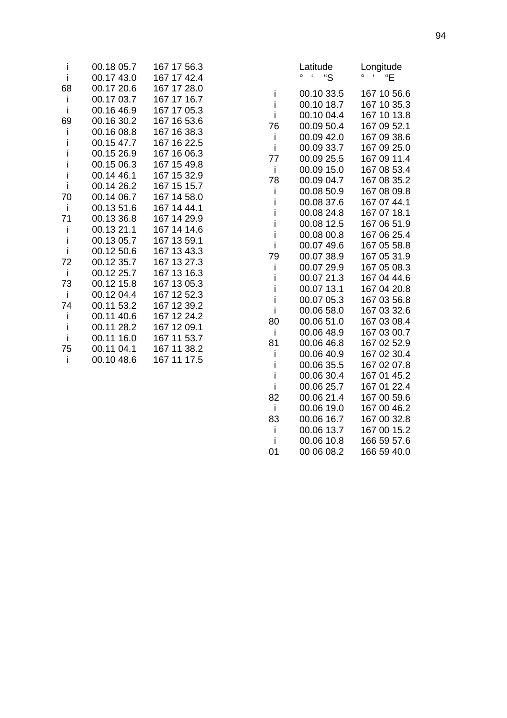| i  | 00.18 05.7 | 167 17 56.3 |
|----|------------|-------------|
| i  | 00.17 43.0 | 167 17 42.4 |
| 68 | 00.17 20.6 | 167 17 28.0 |
| L  | 00.17 03.7 | 167 17 16.7 |
| i  | 00.16 46.9 | 167 17 05.3 |
| 69 | 00.16 30.2 | 167 16 53.6 |
| I  | 00.16 08.8 | 167 16 38.3 |
| ı  | 00.15 47.7 | 167 16 22.5 |
| i  | 00.15 26.9 | 167 16 06.3 |
| I  | 00.15 06.3 | 167 15 49.8 |
| I  | 00.14 46.1 | 167 15 32.9 |
| i  | 00.14 26.2 | 167 15 15.7 |
| 70 | 00.14 06.7 | 167 14 58.0 |
| i  | 00.13 51.6 | 167 14 44.1 |
| 71 | 00.13 36.8 | 167 14 29.9 |
| i  | 00.13 21.1 | 167 14 14.6 |
| i  | 00.13 05.7 | 167 13 59.1 |
| i  | 00.12 50.6 | 167 13 43.3 |
| 72 | 00.12 35.7 | 167 13 27.3 |
| i  | 00.12 25.7 | 167 13 16.3 |
| 73 | 00.12 15.8 | 167 13 05.3 |
| Ť  | 00.12 04.4 | 167 12 52.3 |
| 74 | 00.11 53.2 | 167 12 39.2 |
| i. | 00.11 40.6 | 167 12 24.2 |
| i  | 00.11 28.2 | 167 12 09.1 |
| i  | 00.11 16.0 | 167 11 53.7 |
| 75 | 00.11 04.1 | 167 11 38.2 |
| i  | 00.10 48.6 | 167 11 17.5 |

|    | atıtude<br>o<br>ć<br>"S | .ongitude<br>o<br>"Е |
|----|-------------------------|----------------------|
| i  | 00.10 33.5              | 167 10 56.6          |
| i  | 00.10 18.7              | 167 10 35.3          |
| i  | 00.10 04.4              | 167 10 13.8          |
| 76 | 00.09 50.4              | 167 09 52.1          |
| i  | 00.09 42.0              | 167 09 38.6          |
| i  | 00.09 33.7              | 167 09 25.0          |
| 77 | 00.09 25.5              | 167 09 11.4          |
| i  | 00.09 15.0              | 167 08 53.4          |
| 78 | 00.09 04.7              | 167 08 35.2          |
| i  | 00.08 50.9              | 167 08 09.8          |
| i  | 00.08 37.6              | 167 07 44.1          |
| i  | 00.08 24.8              | 167 07 18.1          |
| i  | 00.08 12.5              | 167 06 51.9          |
| i  | 00.08 00.8              | 167 06 25.4          |
| i  | 00.07 49.6              | 167 05 58.8          |
| 79 | 00.07 38.9              | 167 05 31.9          |
| i  | 00.07 29.9              | 167 05 08.3          |
| i  | 00.07 21.3              | 167 04 44.6          |
| i  | 00.07 13.1              | 167 04 20.8          |
| i  | 00.07 05.3              | 167 03 56.8          |
| i  | 00.06 58.0              | 167 03 32.6          |
| 80 | 00.06 51.0              | 167 03 08.4          |
| i  | 00.06 48.9              | 167 03 00.7          |
| 81 | 00.06 46.8              | 167 02 52.9          |
| İ  | 00.06 40.9              | 167 02 30.4          |
| i  | 00.06 35.5              | 167 02 07.8          |
| i  | 00.06 30.4              | 167 01 45.2          |
| i  | 00.06 25.7              | 167 01 22.4          |
| 82 | 00.06 21.4              | 167 00 59.6          |
| i  | 00.06 19.0              | 167 00 46.2          |
| 83 | 00.06 16.7              | 167 00 32.8          |
| i  | 00.06 13.7              | 167 00 15.2          |
| i  | 00.06 10.8              | 166 59 57.6          |
| 01 | 00 06 08.2              | 166 59 40.0          |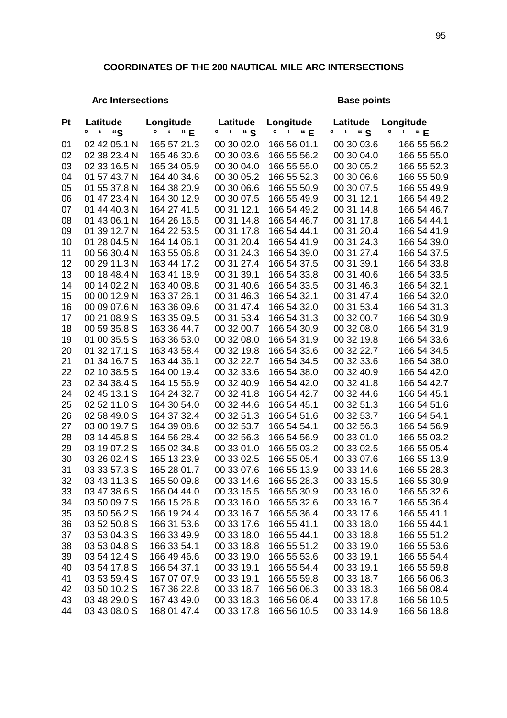## **COORDINATES OF THE 200 NAUTICAL MILE ARC INTERSECTIONS**

## Arc Intersections **Base points Base points**

| <b>Pt</b> | Latitude                            | Longitude                  | Latitude                 | Longitude                  | Latitude                 | Longitude                  |
|-----------|-------------------------------------|----------------------------|--------------------------|----------------------------|--------------------------|----------------------------|
|           | $\pmb{\epsilon}$<br>$\bullet$<br>"S | ۰<br>" E<br>£              | " S<br>۰<br>£            | "E<br>۰<br>£               | " S<br>۰<br>6            | ۰<br>"E<br>٢               |
| 01        | 02 42 05.1 N                        | 165 57 21.3                | 00 30 02.0               | 166 56 01.1                | 00 30 03.6               | 166 55 56.2                |
| 02        | 02 38 23.4 N                        | 165 46 30.6                | 00 30 03.6               | 166 55 56.2                | 00 30 04.0               | 166 55 55.0                |
| 03        | 02 33 16.5 N                        | 165 34 05.9                | 00 30 04.0               | 166 55 55.0                | 00 30 05.2               | 166 55 52.3                |
| 04        | 01 57 43.7 N                        | 164 40 34.6                | 00 30 05.2               | 166 55 52.3                | 00 30 06.6               | 166 55 50.9                |
| 05        | 01 55 37.8 N                        | 164 38 20.9                | 00 30 06.6               | 166 55 50.9                | 00 30 07.5               | 166 55 49.9                |
| 06        | 01 47 23.4 N                        | 164 30 12.9                | 00 30 07.5               | 166 55 49.9                | 00 31 12.1               | 166 54 49.2                |
| 07        | 01 44 40.3 N                        | 164 27 41.5                | 00 31 12.1               | 166 54 49.2                | 00 31 14.8               | 166 54 46.7                |
| 08        | 01 43 06.1 N                        | 164 26 16.5                | 00 31 14.8               | 166 54 46.7                | 00 31 17.8               | 166 54 44.1                |
| 09        | 01 39 12.7 N                        | 164 22 53.5                | 00 31 17.8               | 166 54 44.1                | 00 31 20.4               | 166 54 41.9                |
| 10        | 01 28 04.5 N                        | 164 14 06.1                | 00 31 20.4               | 166 54 41.9                | 00 31 24.3               | 166 54 39.0                |
| 11        | 00 56 30.4 N                        | 163 55 06.8                | 00 31 24.3               | 166 54 39.0                | 00 31 27.4               | 166 54 37.5                |
| 12        | 00 29 11.3 N                        | 163 44 17.2                | 00 31 27.4               | 166 54 37.5                | 00 31 39.1               | 166 54 33.8                |
| 13        | 00 18 48.4 N                        | 163 41 18.9                | 00 31 39.1               | 166 54 33.8                | 00 31 40.6               | 166 54 33.5                |
| 14        | 00 14 02.2 N                        | 163 40 08.8                | 00 31 40.6               | 166 54 33.5                | 00 31 46.3               | 166 54 32.1                |
| 15        | 00 00 12.9 N                        | 163 37 26.1                | 00 31 46.3               | 166 54 32.1                | 00 31 47.4               | 166 54 32.0                |
| 16        | 00 09 07.6 N                        | 163 36 09.6                | 00 31 47.4               | 166 54 32.0                | 00 31 53.4               | 166 54 31.3                |
| 17        | 00 21 08.9 S                        | 163 35 09.5                | 00 31 53.4               | 166 54 31.3                | 00 32 00.7               | 166 54 30.9                |
| 18        | 00 59 35.8 S                        | 163 36 44.7                | 00 32 00.7               | 166 54 30.9                | 00 32 08.0               | 166 54 31.9                |
| 19        | 01 00 35.5 S                        | 163 36 53.0                | 00 32 08.0               | 166 54 31.9                | 00 32 19.8               | 166 54 33.6                |
| 20        | 01 32 17.1 S                        | 163 43 58.4                | 00 32 19.8               | 166 54 33.6                | 00 32 22.7               | 166 54 34.5                |
| 21        | 01 34 16.7 S                        | 163 44 36.1                | 00 32 22.7               | 166 54 34.5                | 00 32 33.6               | 166 54 38.0                |
| 22        | 02 10 38.5 S                        | 164 00 19.4                | 00 32 33.6               | 166 54 38.0                | 00 32 40.9               | 166 54 42.0                |
| 23        | 02 34 38.4 S                        | 164 15 56.9                | 00 32 40.9               | 166 54 42.0                | 00 32 41.8               | 166 54 42.7                |
| 24        | 02 45 13.1 S                        | 164 24 32.7                | 00 32 41.8               | 166 54 42.7                | 00 32 44.6               | 166 54 45.1                |
| 25        | 02 52 11.0 S                        | 164 30 54.0                | 00 32 44.6               | 166 54 45.1                | 00 32 51.3               | 166 54 51.6                |
| 26        | 02 58 49.0 S                        | 164 37 32.4                | 00 32 51.3               | 166 54 51.6                | 00 32 53.7               | 166 54 54.1                |
| 27        | 03 00 19.7 S                        | 164 39 08.6                | 00 32 53.7               | 166 54 54.1                | 00 32 56.3               | 166 54 56.9                |
| 28        | 03 14 45.8 S<br>03 19 07.2 S        | 164 56 28.4                | 00 32 56.3               | 166 54 56.9                | 00 33 01.0<br>00 33 02.5 | 166 55 03.2                |
| 29<br>30  |                                     | 165 02 34.8                | 00 33 01.0               | 166 55 03.2                | 00 33 07.6               | 166 55 05.4<br>166 55 13.9 |
| 31        | 03 26 02.4 S<br>03 33 57.3 S        | 165 13 23.9<br>165 28 01.7 | 00 33 02.5<br>00 33 07.6 | 166 55 05.4<br>166 55 13.9 | 00 33 14.6               | 166 55 28.3                |
| 32        | 03 43 11.3 S                        | 165 50 09.8                | 00 33 14.6               | 166 55 28.3                | 00 33 15.5               | 166 55 30.9                |
| 33        | 03 47 38.6 S                        | 166 04 44.0                | 00 33 15.5               | 166 55 30.9                | 00 33 16.0               | 166 55 32.6                |
| 34        | 03 50 09.7 S                        | 166 15 26.8                | 00 33 16.0               | 166 55 32.6                | 00 33 16.7               | 166 55 36.4                |
| 35        | 03 50 56.2 S                        | 166 19 24.4                | 00 33 16.7               | 166 55 36.4                | 00 33 17.6               | 166 55 41.1                |
| 36        | 03 52 50.8 S                        | 166 31 53.6                | 00 33 17.6               | 166 55 41.1                | 00 33 18.0               | 166 55 44.1                |
| 37        | 03 53 04.3 S                        | 166 33 49.9                | 00 33 18.0               | 166 55 44.1                | 00 33 18.8               | 166 55 51.2                |
| 38        | 03 53 04.8 S                        | 166 33 54.1                | 00 33 18.8               | 166 55 51.2                | 00 33 19.0               | 166 55 53.6                |
| 39        | 03 54 12.4 S                        | 166 49 46.6                | 00 33 19.0               | 166 55 53.6                | 00 33 19.1               | 166 55 54.4                |
| 40        | 03 54 17.8 S                        | 166 54 37.1                | 00 33 19.1               | 166 55 54.4                | 00 33 19.1               | 166 55 59.8                |
| 41        | 03 53 59.4 S                        | 167 07 07.9                | 00 33 19.1               | 166 55 59.8                | 00 33 18.7               | 166 56 06.3                |
| 42        | 03 50 10.2 S                        | 167 36 22.8                | 00 33 18.7               | 166 56 06.3                | 00 33 18.3               | 166 56 08.4                |
| 43        | 03 48 29.0 S                        | 167 43 49.0                | 00 33 18.3               | 166 56 08.4                | 00 33 17.8               | 166 56 10.5                |
| 44        | 03 43 08.0 S                        | 168 01 47.4                | 00 33 17.8               | 166 56 10.5                | 00 33 14.9               | 166 56 18.8                |
|           |                                     |                            |                          |                            |                          |                            |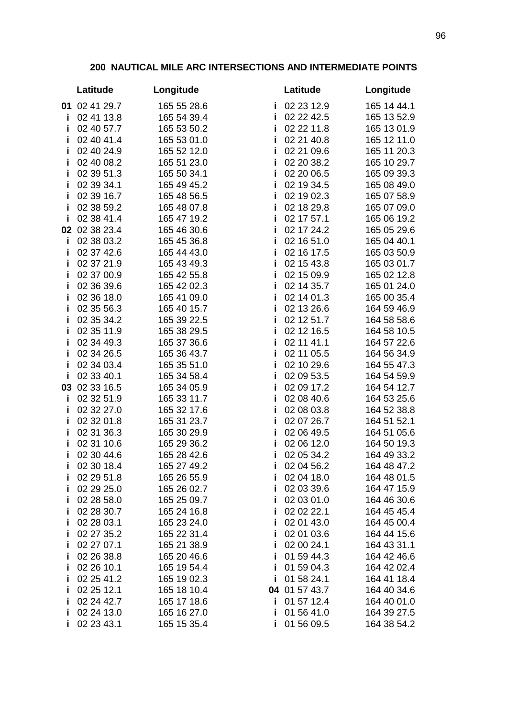## **200 NAUTICAL MILE ARC INTERSECTIONS AND INTERMEDIATE POINTS**

|         | Latitude                 | Longitude                  | Latitude                           | Longitude                  |
|---------|--------------------------|----------------------------|------------------------------------|----------------------------|
|         | 01 02 41 29.7            | 165 55 28.6                | 02 23 12.9<br>j.                   | 165 14 44.1                |
| j.      | 02 41 13.8               | 165 54 39.4                | i<br>02 22 42.5                    | 165 13 52.9                |
| i       | 02 40 57.7               | 165 53 50.2                | j,<br>02 22 11.8                   | 165 13 01.9                |
| j.      | 02 40 41.4               | 165 53 01.0                | 02 21 40.8<br>i                    | 165 12 11.0                |
| i       | 02 40 24.9               | 165 52 12.0                | 02 21 09.6<br>j.                   | 165 11 20.3                |
| i       | 02 40 08.2               | 165 51 23.0                | i<br>02 20 38.2                    | 165 10 29.7                |
| j.      | 02 39 51.3               | 165 50 34.1                | j,<br>02 20 06.5                   | 165 09 39.3                |
| i       | 02 39 34.1               | 165 49 45.2                | 02 19 34.5<br>j                    | 165 08 49.0                |
| j,      | 02 39 16.7               | 165 48 56.5                | 02 19 02.3<br>j                    | 165 07 58.9                |
| i       | 02 38 59.2               | 165 48 07.8                | j,<br>02 18 29.8                   | 165 07 09.0                |
| i       | 02 38 41.4               | 165 47 19.2                | i<br>02 17 57.1                    | 165 06 19.2                |
|         | 02 02 38 23.4            | 165 46 30.6                | j,<br>02 17 24.2                   | 165 05 29.6                |
| j,      | 02 38 03.2               | 165 45 36.8                | 02 16 51.0<br>j                    | 165 04 40.1                |
| i       | 02 37 42.6               | 165 44 43.0                | 02 16 17.5<br>i                    | 165 03 50.9                |
| j,      | 02 37 21.9               | 165 43 49.3                | 02 15 43.8<br>j.                   | 165 03 01.7                |
| i       | 02 37 00.9               | 165 42 55.8                | i<br>02 15 09.9                    | 165 02 12.8                |
| i       | 02 36 39.6               | 165 42 02.3                | j,<br>02 14 35.7                   | 165 01 24.0                |
| j,      | 02 36 18.0               | 165 41 09.0                | 02 14 01.3<br>j                    | 165 00 35.4                |
| j,      | 02 35 56.3               | 165 40 15.7                | 02 13 26.6<br>j                    | 164 59 46.9                |
| j,      | 02 35 34.2               | 165 39 22.5                | j,<br>02 12 51.7                   | 164 58 58.6                |
| i       | 02 35 11.9               | 165 38 29.5                | i<br>02 12 16.5                    | 164 58 10.5                |
| j.      | 02 34 49.3               | 165 37 36.6                | 02 11 41.1<br>j,                   | 164 57 22.6                |
| i       | 02 34 26.5               | 165 36 43.7                | 02 11 05.5<br>j,                   | 164 56 34.9                |
| j,      | 02 34 03.4               | 165 35 51.0                | 02 10 29.6<br>i                    | 164 55 47.3                |
| Ĩ.      | 02 33 40.1               | 165 34 58.4                | 02 09 53.5<br>j.                   | 164 54 59.9                |
|         | 03 02 33 16.5            | 165 34 05.9                | i<br>02 09 17.2                    | 164 54 12.7                |
| j,      | 02 32 51.9               | 165 33 11.7                | 02 08 40.6<br>j,                   | 164 53 25.6                |
| j,      | 02 32 27.0<br>02 32 01.8 | 165 32 17.6<br>165 31 23.7 | 02 08 03.8<br>j<br>j<br>02 07 26.7 | 164 52 38.8<br>164 51 52.1 |
| i<br>j, | 02 31 36.3               | 165 30 29.9                | 02 06 49.5<br>j,                   | 164 51 05.6                |
| i       | 02 31 10.6               | 165 29 36.2                | i<br>02 06 12.0                    | 164 50 19.3                |
| i       | 02 30 44.6               | 165 28 42.6                | i<br>02 05 34.2                    | 164 49 33.2                |
| i       | 02 30 18.4               | 165 27 49.2                | 02 04 56.2<br>i.                   | 164 48 47.2                |
| Ĩ       | 02 29 51.8               | 165 26 55.9                | 02 04 18.0<br>Ĩ                    | 164 48 01.5                |
| Ĩ       | 02 29 25.0               | 165 26 02.7                | 02 03 39.6<br>j                    | 164 47 15.9                |
| Ĩ       | 02 28 58.0               | 165 25 09.7                | 02 03 01.0<br>j                    | 164 46 30.6                |
| Ĩ       | 02 28 30.7               | 165 24 16.8                | 02 02 22.1<br>Ī                    | 164 45 45.4                |
| Ĩ       | 02 28 03.1               | 165 23 24.0                | 02 01 43.0<br>Ĩ                    | 164 45 00.4                |
| Ĩ       | 02 27 35.2               | 165 22 31.4                | 02 01 03.6<br>Ĩ                    | 164 44 15.6                |
| Ĩ       | 02 27 07.1               | 165 21 38.9                | 02 00 24.1<br>Ĩ                    | 164 43 31.1                |
| Ĩ       | 02 26 38.8               | 165 20 46.6                | 01 59 44.3<br>Ĩ                    | 164 42 46.6                |
| Ĩ       | 02 26 10.1               | 165 19 54.4                | 01 59 04.3<br>Ĩ                    | 164 42 02.4                |
| Ĩ       | 02 25 41.2               | 165 19 02.3                | 01 58 24.1<br>Ĩ                    | 164 41 18.4                |
| Ĩ       | 02 25 12.1               | 165 18 10.4                | 04 01 57 43.7                      | 164 40 34.6                |
| Ĩ       | 02 24 42.7               | 165 17 18.6                | 01 57 12.4<br>Ť                    | 164 40 01.0                |
| j,      | 02 24 13.0               | 165 16 27.0                | 01 56 41.0<br>Ĩ                    | 164 39 27.5                |
| Ĩ       | 02 23 43.1               | 165 15 35.4                | 01 56 09.5<br>Ĩ                    | 164 38 54.2                |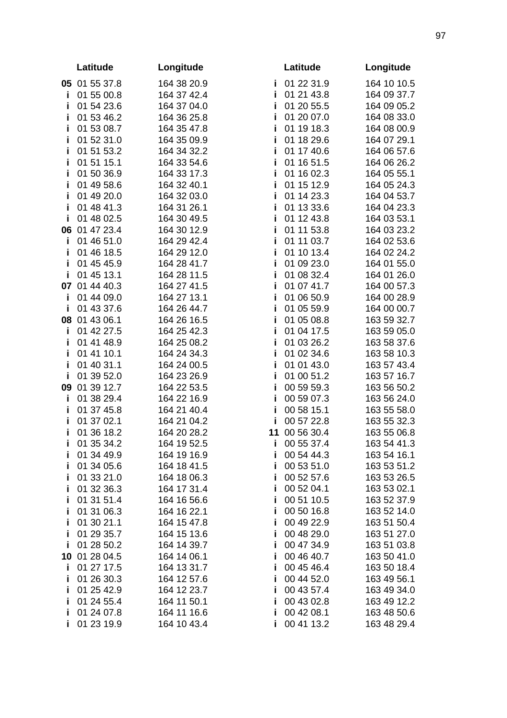|    | Latitude      | Longitude   |    | Latitude   | Longitude   |
|----|---------------|-------------|----|------------|-------------|
|    | 05 01 55 37.8 | 164 38 20.9 | Ĩ. | 01 22 31.9 | 164 10 10.5 |
| j. | 01 55 00.8    | 164 37 42.4 | j. | 01 21 43.8 | 164 09 37.7 |
| j, | 01 54 23.6    | 164 37 04.0 | j, | 01 20 55.5 | 164 09 05.2 |
| i  | 01 53 46.2    | 164 36 25.8 | j, | 01 20 07.0 | 164 08 33.0 |
| i  | 01 53 08.7    | 164 35 47.8 | i  | 01 19 18.3 | 164 08 00.9 |
| i  | 01 52 31.0    | 164 35 09.9 | j, | 01 18 29.6 | 164 07 29.1 |
| i  | 01 51 53.2    | 164 34 32.2 | j, | 01 17 40.6 | 164 06 57.6 |
| i  | 01 51 15.1    | 164 33 54.6 | j, | 01 16 51.5 | 164 06 26.2 |
| j. | 01 50 36.9    | 164 33 17.3 | j, | 01 16 02.3 | 164 05 55.1 |
| i  | 01 49 58.6    | 164 32 40.1 | j, | 01 15 12.9 | 164 05 24.3 |
| i  | 01 49 20.0    | 164 32 03.0 | j, | 01 14 23.3 | 164 04 53.7 |
| i  | 01 48 41.3    | 164 31 26.1 | j, | 01 13 33.6 | 164 04 23.3 |
| i  | 01 48 02.5    | 164 30 49.5 | j, | 01 12 43.8 | 164 03 53.1 |
|    | 06 01 47 23.4 | 164 30 12.9 | j, | 01 11 53.8 | 164 03 23.2 |
| j. | 01 46 51.0    | 164 29 42.4 | i  | 01 11 03.7 | 164 02 53.6 |
| i  | 01 46 18.5    | 164 29 12.0 | j, | 01 10 13.4 | 164 02 24.2 |
| i  | 01 45 45.9    | 164 28 41.7 | i  | 01 09 23.0 | 164 01 55.0 |
| i  | 01 45 13.1    | 164 28 11.5 | j, | 01 08 32.4 | 164 01 26.0 |
|    | 07 01 44 40.3 | 164 27 41.5 | j, | 01 07 41.7 | 164 00 57.3 |
| i  | 01 44 09.0    | 164 27 13.1 | j  | 01 06 50.9 | 164 00 28.9 |
| i  | 01 43 37.6    | 164 26 44.7 | j  | 01 05 59.9 | 164 00 00.7 |
|    | 08 01 43 06.1 | 164 26 16.5 | j  | 01 05 08.8 | 163 59 32.7 |
| i  | 01 42 27.5    | 164 25 42.3 | j, | 01 04 17.5 | 163 59 05.0 |
| i  | 01 41 48.9    | 164 25 08.2 | j, | 01 03 26.2 | 163 58 37.6 |
| i  | 01 41 10.1    | 164 24 34.3 | j  | 01 02 34.6 | 163 58 10.3 |
| i  | 01 40 31.1    | 164 24 00.5 | j, | 01 01 43.0 | 163 57 43.4 |
| i  | 01 39 52.0    | 164 23 26.9 | j  | 01 00 51.2 | 163 57 16.7 |
|    | 09 01 39 12.7 | 164 22 53.5 | j, | 00 59 59.3 | 163 56 50.2 |
| i. | 01 38 29.4    | 164 22 16.9 | i  | 00 59 07.3 | 163 56 24.0 |
| j, | 01 37 45.8    | 164 21 40.4 | j  | 00 58 15.1 | 163 55 58.0 |
| j, | 01 37 02.1    | 164 21 04.2 | j  | 00 57 22.8 | 163 55 32.3 |
| i  | 01 36 18.2    | 164 20 28.2 | 11 | 00 56 30.4 | 163 55 06.8 |
| i. | 01 35 34.2    | 164 19 52.5 | i. | 00 55 37.4 | 163 54 41.3 |
| j. | 01 34 49.9    | 164 19 16.9 | i  | 00 54 44.3 | 163 54 16.1 |
| Ĩ  | 01 34 05.6    | 164 18 41.5 | Ť  | 00 53 51.0 | 163 53 51.2 |
| Ĩ  | 01 33 21.0    | 164 18 06.3 | Ĩ  | 00 52 57.6 | 163 53 26.5 |
| Ĩ  | 01 32 36.3    | 164 17 31.4 | Ĩ  | 00 52 04.1 | 163 53 02.1 |
| Ĩ  | 01 31 51.4    | 164 16 56.6 | Ť  | 00 51 10.5 | 163 52 37.9 |
| i  | 01 31 06.3    | 164 16 22.1 | j  | 00 50 16.8 | 163 52 14.0 |
| Ĩ  | 01 30 21.1    | 164 15 47.8 | Ť  | 00 49 22.9 | 163 51 50.4 |
| i  | 01 29 35.7    | 164 15 13.6 | Ť  | 00 48 29.0 | 163 51 27.0 |
| j, | 01 28 50.2    | 164 14 39.7 | Ť  | 00 47 34.9 | 163 51 03.8 |
|    | 10 01 28 04.5 | 164 14 06.1 | Ť  | 00 46 40.7 | 163 50 41.0 |
| i  | 01 27 17.5    | 164 13 31.7 | j, | 00 45 46.4 | 163 50 18.4 |
| Ĩ  | 01 26 30.3    | 164 12 57.6 | Ť  | 00 44 52.0 | 163 49 56.1 |
| Ĩ  | 01 25 42.9    | 164 12 23.7 | Ť  | 00 43 57.4 | 163 49 34.0 |
| Ĩ  | 01 24 55.4    | 164 11 50.1 | Ĩ  | 00 43 02.8 | 163 49 12.2 |
| j, | 01 24 07.8    | 164 11 16.6 | Ĩ  | 00 42 08.1 | 163 48 50.6 |
| i, | 01 23 19.9    | 164 10 43.4 | i  | 00 41 13.2 | 163 48 29.4 |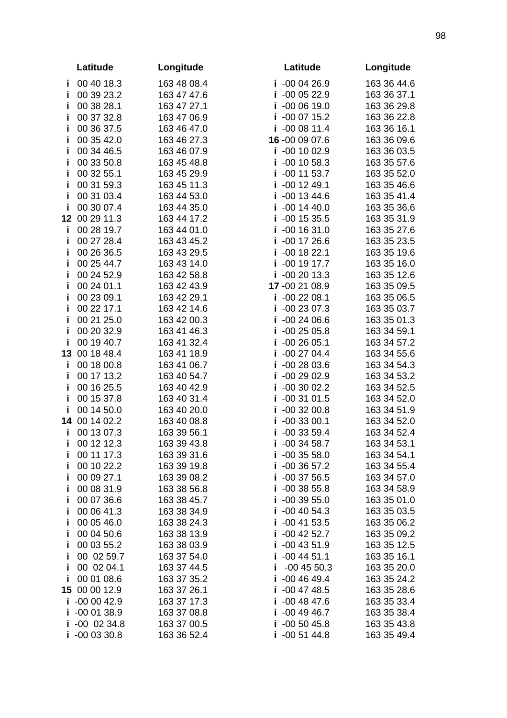|    | Latitude                    | Longitude                  | Latitude                       | Longitude                  |
|----|-----------------------------|----------------------------|--------------------------------|----------------------------|
| Ť. | 00 40 18.3                  | 163 48 08.4                | $i -000426.9$                  | 163 36 44.6                |
| Ĩ  | 00 39 23.2                  | 163 47 47.6                | $i -000522.9$                  | 163 36 37.1                |
| Ĩ  | 00 38 28.1                  | 163 47 27.1                | $i -0006190$                   | 163 36 29.8                |
| Ĩ  | 00 37 32.8                  | 163 47 06.9                | $i -000715.2$                  | 163 36 22.8                |
| j, | 00 36 37.5                  | 163 46 47.0                | $i -000811.4$                  | 163 36 16.1                |
| Ĩ  | 00 35 42.0                  | 163 46 27.3                | 16 -00 09 07.6                 | 163 36 09.6                |
| Ĩ  | 00 34 46.5                  | 163 46 07.9                | $i -00 10 02.9$                | 163 36 03.5                |
| j  | 00 33 50.8                  | 163 45 48.8                | $i -001058.3$                  | 163 35 57.6                |
| Ī  | 00 32 55.1                  | 163 45 29.9                | $i -00$ 11 53.7                | 163 35 52.0                |
| j  | 00 31 59.3                  | 163 45 11.3                | $i -001249.1$                  | 163 35 46.6                |
| Ĩ  | 00 31 03.4                  | 163 44 53.0                | $-00$ 13 44.6<br>i.            | 163 35 41.4                |
| Ĩ  | 00 30 07.4                  | 163 44 35.0                | $i -001440.0$                  | 163 35 36.6                |
|    | 12 00 29 11.3               | 163 44 17.2                | $i -001535.5$                  | 163 35 31.9                |
| j. | 00 28 19.7                  | 163 44 01.0                | $i -001631.0$                  | 163 35 27.6                |
| j, | 00 27 28.4                  | 163 43 45.2                | $i -001726.6$                  | 163 35 23.5                |
| Ĩ  | 00 26 36.5                  | 163 43 29.5                | $i -001822.1$                  | 163 35 19.6                |
| Ĩ  | 00 25 44.7                  | 163 43 14.0                | $i -001917.7$                  | 163 35 16.0                |
| j  | 00 24 52.9                  | 163 42 58.8                | $i -002013.3$                  | 163 35 12.6                |
| Ť  | 00 24 01.1                  | 163 42 43.9                | 17 - 00 21 08.9                | 163 35 09.5                |
| j  | 00 23 09.1                  | 163 42 29.1                | $i -002208.1$                  | 163 35 06.5                |
| Ĩ  | 00 22 17.1                  | 163 42 14.6                | $-002307.3$<br>i.              | 163 35 03.7                |
| Ĩ  | 00 21 25.0                  | 163 42 00.3                | $i -002406.6$                  | 163 35 01.3                |
| j  | 00 20 32.9                  | 163 41 46.3                | $i -002505.8$                  | 163 34 59.1                |
| Ť  | 00 19 40.7<br>13 00 18 48.4 | 163 41 32.4<br>163 41 18.9 | $i -002605.1$<br>$i -002704.4$ | 163 34 57.2<br>163 34 55.6 |
| Ĩ. | 00 18 00.8                  | 163 41 06.7                | $-002803.6$<br>i.              | 163 34 54.3                |
| Ĩ  | 00 17 13.2                  | 163 40 54.7                | $i -002902.9$                  | 163 34 53.2                |
| j, | 00 16 25.5                  | 163 40 42.9                | $i -003002.2$                  | 163 34 52.5                |
| Ť  | 00 15 37.8                  | 163 40 31.4                | $i -003101.5$                  | 163 34 52.0                |
| i  | 00 14 50.0                  | 163 40 20.0                | $-003200.8$<br>j,              | 163 34 51.9                |
| 14 | 00 14 02.2                  | 163 40 08.8                | $-003300.1$<br>Ť               | 163 34 52.0                |
| j. | 00 13 07.3                  | 163 39 56.1                | $-003359.4$<br>i.              | 163 34 52.4                |
|    | 00 12 12.3                  | 163 39 43.8                | $i -003458.7$                  | 163 34 53.1                |
| Ī  | 00 11 17.3                  | 163 39 31.6                | $i -0035580$                   | 163 34 54.1                |
| Ĩ  | 00 10 22.2                  | 163 39 19.8                | $i -003657.2$                  | 163 34 55.4                |
|    | 00 09 27.1                  | 163 39 08.2                | $-003756.5$<br>Ť               | 163 34 57.0                |
|    | 00 08 31.9                  | 163 38 56.8                | $i -003855.8$                  | 163 34 58.9                |
| j  | 00 07 36.6                  | 163 38 45.7                | $i -0039550$                   | 163 35 01.0                |
| Ī  | 00 06 41.3                  | 163 38 34.9                | $i -004054.3$                  | 163 35 03.5                |
| Ĩ  | 00 05 46.0                  | 163 38 24.3                | $i -004153.5$                  | 163 35 06.2                |
| Ť  | 00 04 50.6                  | 163 38 13.9                | $i -004252.7$                  | 163 35 09.2                |
| Ĩ  | 00 03 55.2                  | 163 38 03.9                | $i -004351.9$                  | 163 35 12.5                |
| Ī  | 00 02 59.7                  | 163 37 54.0                | $i -004451.1$                  | 163 35 16.1                |
| Ť  | 00 02 04.1                  | 163 37 44.5                | $-00$ 45 50.3<br>i.            | 163 35 20.0                |
| Ĩ  | 00 01 08.6                  | 163 37 35.2                | $i -004649.4$                  | 163 35 24.2                |
| 15 | 00 00 12.9                  | 163 37 26.1                | $i -004748.5$                  | 163 35 28.6                |
| Ĩ  | $-000042.9$                 | 163 37 17.3                | $i -004847.6$                  | 163 35 33.4                |
| Ĩ  | $-000138.9$                 | 163 37 08.8                | $i -004946.7$                  | 163 35 38.4                |
| Ť  | $-00$ 02 34.8               | 163 37 00.5                | $i -005045.8$                  | 163 35 43.8                |
|    | $i -000330.8$               | 163 36 52.4                | $i -005144.8$                  | 163 35 49.4                |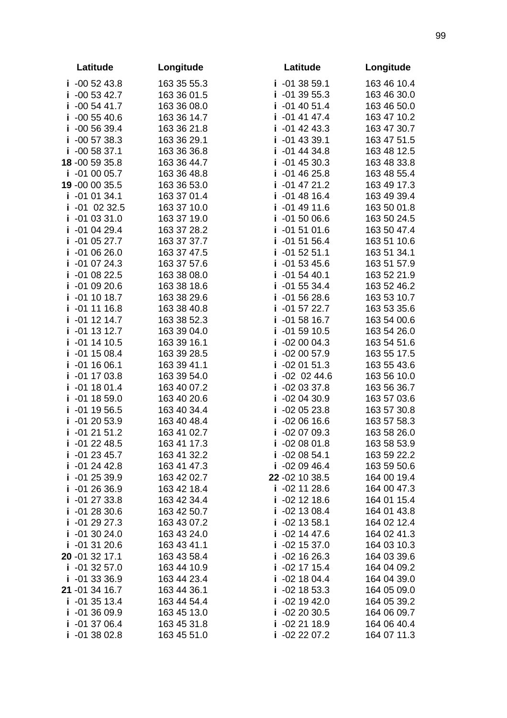| Latitude                       | Longitude                  | Latitude                         | Longitude                  |
|--------------------------------|----------------------------|----------------------------------|----------------------------|
| $i -005243.8$                  | 163 35 55.3                | $i -013859.1$                    | 163 46 10.4                |
| $-005342.7$<br>j.              | 163 36 01.5                | $i -013955.3$                    | 163 46 30.0                |
| $-005441.7$<br>j.              | 163 36 08.0                | $i -014051.4$                    | 163 46 50.0                |
| $-005540.6$<br>j.              | 163 36 14.7                | $i -014147.4$                    | 163 47 10.2                |
| $-005639.4$<br>j.              | 163 36 21.8                | $i -014243.3$                    | 163 47 30.7                |
| $i -005738.3$                  | 163 36 29.1                | $i -014339.1$                    | 163 47 51.5                |
| $i -005837.1$                  | 163 36 36.8                | $i -014434.8$                    | 163 48 12.5                |
| 18 -00 59 35.8                 | 163 36 44.7                | $i -014530.3$                    | 163 48 33.8                |
| $i -010005.7$                  | 163 36 48.8                | $i -014625.8$                    | 163 48 55.4                |
| 19 -00 00 35.5                 | 163 36 53.0                | $i -014721.2$                    | 163 49 17.3                |
| $-010134.1$<br>Ĩ               | 163 37 01.4                | $i -014816.4$                    | 163 49 39.4                |
| $-01$ 02 32.5<br>j.            | 163 37 10.0                | $i -014911.6$                    | 163 50 01.8                |
| $i -010331.0$                  | 163 37 19.0                | $i -015006.6$                    | 163 50 24.5                |
| $i -010429.4$                  | 163 37 28.2                | $i -015101.6$                    | 163 50 47.4                |
| $i -010527.7$                  | 163 37 37.7                | $i -015156.4$                    | 163 51 10.6                |
| $i -010626.0$                  | 163 37 47.5                | $i -015251.1$                    | 163 51 34.1                |
| $i -010724.3$                  | 163 37 57.6                | $i -015345.6$                    | 163 51 57.9                |
| $i -010822.5$                  | 163 38 08.0                | $i -015440.1$                    | 163 52 21.9                |
| $-010920.6$<br>Ĩ.              | 163 38 18.6                | $i -015534.4$                    | 163 52 46.2                |
| $-01$ 10 18.7<br>i             | 163 38 29.6                | $i -015628.6$                    | 163 53 10.7                |
| $-01$ 11 16.8<br>j,            | 163 38 40.8                | $i -015722.7$                    | 163 53 35.6                |
| $-01$ 12 14.7<br>j.            | 163 38 52.3                | $-015816.7$<br>i.                | 163 54 00.6                |
| $i -011312.7$                  | 163 39 04.0                | $i -015910.5$                    | 163 54 26.0                |
| $i -011410.5$                  | 163 39 16.1                | $i -020004.3$                    | 163 54 51.6                |
| $i -011508.4$                  | 163 39 28.5                | $i -020057.9$                    | 163 55 17.5                |
| $i -011606.1$                  | 163 39 41.1                | $i -020151.3$                    | 163 55 43.6                |
| $i -011703.8$                  | 163 39 54.0                | $i -02 02 44.6$                  | 163 56 10.0                |
| $i -011801.4$                  | 163 40 07.2                | $i -020337.8$                    | 163 56 36.7                |
| $-01$ 18 59.0<br>Î.            | 163 40 20.6                | $i -020430.9$                    | 163 57 03.6                |
| $-01$ 19 56.5<br>j.            | 163 40 34.4                | $-020523.8$<br>Ĩ                 | 163 57 30.8                |
| $-012053.9$<br>j.              | 163 40 48.4                | $i -020616.6$                    | 163 57 58.3                |
| $-012151.2$<br>j.              | 163 41 02.7                | $-020709.3$<br>i.                | 163 58 26.0                |
| $i -012248.5$                  | 163 41 17.3                | $i -020801.8$                    | 163 58 53.9                |
| $i -012345.7$                  | 163 41 32.2                | $i -020854.1$                    | 163 59 22.2                |
| $-012442.8$<br>Ĩ.              | 163 41 47.3                | $i -020946.4$                    | 163 59 50.6                |
| $-012539.9$<br>Ť               | 163 42 02.7                | 22 - 02 10 38.5                  | 164 00 19.4                |
| $-012636.9$<br>Ĩ               | 163 42 18.4                | $i -02$ 11 28.6                  | 164 00 47.3<br>164 01 15.4 |
| $-012733.8$<br>Ť               | 163 42 34.4                | $i -02$ 12 18.6                  |                            |
| $i -012830.6$<br>$i -012927.3$ | 163 42 50.7                | $i -021308.4$<br>$i -02$ 13 58.1 | 164 01 43.8                |
| $i -013024.0$                  | 163 43 07.2<br>163 43 24.0 | $i -02$ 14 47.6                  | 164 02 12.4<br>164 02 41.3 |
| $i -013120.6$                  | 163 43 41.1                | $i -02$ 15 37.0                  | 164 03 10.3                |
| 20 -01 32 17.1                 | 163 43 58.4                | $i -02$ 16 26.3                  | 164 03 39.6                |
| $-01$ 32 57.0<br>Ĩ.            | 163 44 10.9                | $i -02$ 17 15.4                  | 164 04 09.2                |
| $i -013336.9$                  | 163 44 23.4                | $i -021804.4$                    | 164 04 39.0                |
| 21 -01 34 16.7                 | 163 44 36.1                | $i -02$ 18 53.3                  | 164 05 09.0                |
| $-013513.4$<br>i.              | 163 44 54.4                | $i -021942.0$                    | 164 05 39.2                |
| $-013609.9$<br>Ť               | 163 45 13.0                | $i -022030.5$                    | 164 06 09.7                |
| i -01 37 06.4                  | 163 45 31.8                | $i -022118.9$                    | 164 06 40.4                |
| $i -013802.8$                  | 163 45 51.0                | $-022207.2$                      | 164 07 11.3                |
|                                |                            |                                  |                            |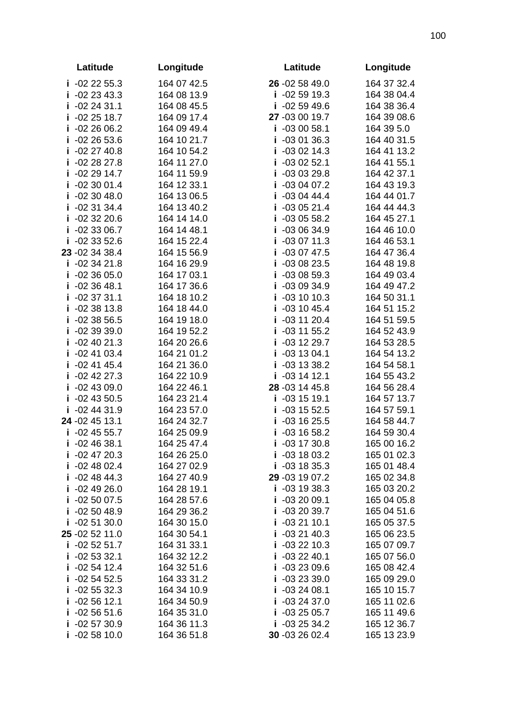| Latitude                          | Longitude                  | Latitude                         | Longitude                  |
|-----------------------------------|----------------------------|----------------------------------|----------------------------|
| $i -022255.3$                     | 164 07 42.5                | 26 -02 58 49.0                   | 164 37 32.4                |
| $-022343.3$<br>j.                 | 164 08 13.9                | $i -025919.3$                    | 164 38 04.4                |
| $i -022431.1$                     | 164 08 45.5                | $i -025949.6$                    | 164 38 36.4                |
| $-022518.7$<br>Ť                  | 164 09 17.4                | 27 -03 00 19.7                   | 164 39 08.6                |
| $-022606.2$                       | 164 09 49.4                | $i -030058.1$                    | 164 39 5.0                 |
| $-022653.6$                       | 164 10 21.7                | $i - 030136.3$                   | 164 40 31.5                |
| $-022740.8$<br>Ĩ                  | 164 10 54.2                | $i -030214.3$                    | 164 41 13.2                |
| $i -022827.8$                     | 164 11 27.0                | $i -030252.1$                    | 164 41 55.1                |
| $-022914.7$<br>Ť                  | 164 11 59.9                | $i - 030329.8$                   | 164 42 37.1                |
| $-023001.4$                       | 164 12 33.1                | $i -030407.2$                    | 164 43 19.3                |
| $-023048.0$<br>Ī                  | 164 13 06.5                | $i -030444.4$                    | 164 44 01.7                |
| $-023134.4$<br>Ĩ                  | 164 13 40.2                | $-030521.4$<br>i.                | 164 44 44.3                |
| $-023220.6$<br>Ĩ.                 | 164 14 14.0                | $i -030558.2$                    | 164 45 27.1                |
| $-023306.7$<br>Ť                  | 164 14 48.1                | $i - 030634.9$                   | 164 46 10.0                |
| $-023352.6$                       | 164 15 22.4                | $i -030711.3$                    | 164 46 53.1                |
| 23 - 02 34 38.4                   | 164 15 56.9                | $i -030747.5$                    | 164 47 36.4                |
| $-023421.8$<br>j.                 | 164 16 29.9                | $i -030823.5$                    | 164 48 19.8                |
| $-023605.0$<br>İ                  | 164 17 03.1                | $i -030859.3$                    | 164 49 03.4                |
| $-023648.1$<br>Ť                  | 164 17 36.6                | $i -030934.9$                    | 164 49 47.2                |
| $-023731.1$<br>Ī                  | 164 18 10.2                | $i -031010.3$                    | 164 50 31.1                |
| $-023813.8$<br>Ī                  | 164 18 44.0                | $i -031045.4$                    | 164 51 15.2                |
| $-023856.5$<br>Ī                  | 164 19 18.0                | $-03$ 11 20.4<br>i.              | 164 51 59.5                |
| $i -023939.0$                     | 164 19 52.2                | $i -031155.2$                    | 164 52 43.9                |
| $i -024021.3$                     | 164 20 26.6                | $i -031229.7$                    | 164 53 28.5                |
| $-024103.4$<br>Ĩ.                 | 164 21 01.2                | $i -031304.1$                    | 164 54 13.2                |
| $i -024145.4$                     | 164 21 36.0                | $i -031338.2$                    | 164 54 58.1                |
| $-02$ 42 27.3<br>j.               | 164 22 10.9                | $i - 031412.1$                   | 164 55 43.2                |
| $i -024309.0$                     | 164 22 46.1                | 28 -03 14 45.8                   | 164 56 28.4                |
| $-024350.5$<br>Ĩ.                 | 164 23 21.4                | $i -031519.1$                    | 164 57 13.7                |
| $-024431.9$                       | 164 23 57.0                | $i -031552.5$                    | 164 57 59.1                |
| 24 - 02 45 13.1                   | 164 24 32.7                | $i - 031625.5$                   | 164 58 44.7                |
| $-024555.7$<br>i.                 | 164 25 09.9                | $-03$ 16 58.2<br>i.              | 164 59 30.4                |
| $i -024638.1$                     | 164 25 47.4                | $i -031730.8$                    | 165 00 16.2                |
| $i -024720.3$                     | 164 26 25.0                | $i -031803.2$                    | 165 01 02.3                |
| $i -024802.4$                     | 164 27 02.9                | $i -031835.3$                    | 165 01 48.4                |
| $-024844.3$<br>Ī                  | 164 27 40.9                | 29 -03 19 07.2<br>$i - 031938.3$ | 165 02 34.8                |
| $-024926.0$<br>Ť<br>$i -025007.5$ | 164 28 19.1<br>164 28 57.6 | $i -032009.1$                    | 165 03 20.2<br>165 04 05.8 |
| $-025048.9$                       | 164 29 36.2                | $i -032039.7$                    | 165 04 51.6                |
| Ť<br>$i -025130.0$                | 164 30 15.0                | $i -032110.1$                    | 165 05 37.5                |
| 25 - 02 52 11.0                   | 164 30 54.1                | $i -032140.3$                    | 165 06 23.5                |
| $-025251.7$<br>j.                 | 164 31 33.1                | $i -032210.3$                    | 165 07 09.7                |
| $-025332.1$<br>Ť                  | 164 32 12.2                | $i -032240.1$                    | 165 07 56.0                |
| $-025412.4$<br>Ť                  | 164 32 51.6                | $i - 032309.6$                   | 165 08 42.4                |
| $-025452.5$                       | 164 33 31.2                | $i - 032339.0$                   | 165 09 29.0                |
| $-025532.3$                       | 164 34 10.9                | $i - 032408.1$                   | 165 10 15.7                |
| $-025612.1$<br>Ĩ                  | 164 34 50.9                | $-032437.0$<br>i.                | 165 11 02.6                |
| $-025651.6$<br>Ť                  | 164 35 31.0                | $i -032505.7$                    | 165 11 49.6                |
| $-025730.9$<br>Ť                  | 164 36 11.3                | $i -032534.2$                    | 165 12 36.7                |
| $i -025810.0$                     | 164 36 51.8                | 30 -03 26 02.4                   | 165 13 23.9                |
|                                   |                            |                                  |                            |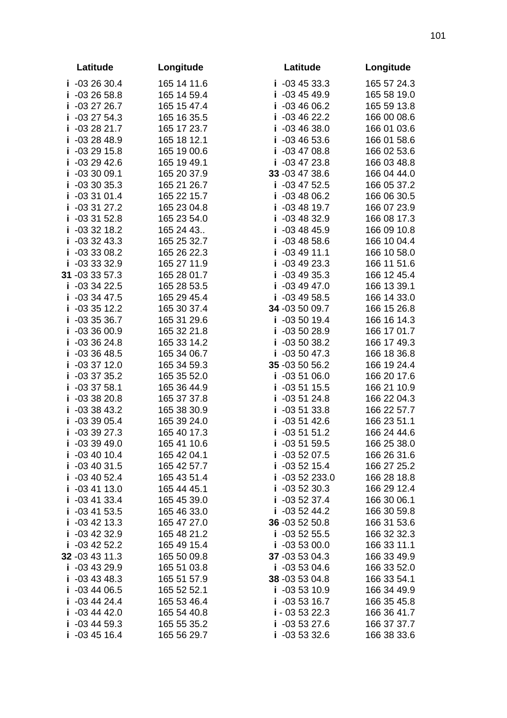|        | Latitude                   | Longitude                  | Latitude                              | Longitude                  |
|--------|----------------------------|----------------------------|---------------------------------------|----------------------------|
|        | $i - 032630.4$             | 165 14 11.6                | $i - 034533.3$                        | 165 57 24.3                |
|        | $i - 032658.8$             | 165 14 59.4                | $i - 034549.9$                        | 165 58 19.0                |
|        | $i -032726.7$              | 165 15 47.4                | $i - 034606.2$                        | 165 59 13.8                |
| Ť.     | $-032754.3$                | 165 16 35.5                | $i - 034622.2$                        | 166 00 08.6                |
| Ť      | $-032821.7$                | 165 17 23.7                | $i - 034638.0$                        | 166 01 03.6                |
| Ĩ      | $-032848.9$                | 165 18 12.1                | $i - 034653.6$                        | 166 01 58.6                |
|        | $i - 032915.8$             | 165 19 00.6                | $i -034708.8$                         | 166 02 53.6                |
| Ĩ.     | $-032942.6$                | 165 19 49.1                | $i -034723.8$                         | 166 03 48.8                |
| Ī      | $-033009.1$                | 165 20 37.9                | 33 - 03 47 38.6                       | 166 04 44.0                |
| Ĩ      | $-033035.3$                | 165 21 26.7                | $-03$ 47 52.5<br>i.                   | 166 05 37.2                |
| j      | $-033101.4$                | 165 22 15.7                | $-034806.2$<br>i                      | 166 06 30.5                |
| i      | $-033127.2$                | 165 23 04.8                | $i - 034819.7$                        | 166 07 23.9                |
|        | $i - 033152.8$             | 165 23 54.0                | $i - 034832.9$                        | 166 08 17.3                |
|        | $i - 033218.2$             | 165 24 43                  | $i - 034845.9$                        | 166 09 10.8                |
|        | $i - 0332433$              | 165 25 32.7                | $i - 034858.6$                        | 166 10 04.4                |
| Ĩ.     | -03 33 08.2                | 165 26 22.3                | $i - 034911.1$                        | 166 10 58.0                |
|        | $i - 033332.9$             | 165 27 11.9                | $i - 034923.3$                        | 166 11 51.6                |
|        | 31 -03 33 57.3             | 165 28 01.7                | $i - 034935.3$                        | 166 12 45.4                |
| Ĩ      | $-033422.5$                | 165 28 53.5                | $i - 034947.0$                        | 166 13 39.1                |
| Ĩ      | $-033447.5$                | 165 29 45.4                | $i -034958.5$                         | 166 14 33.0                |
| Ĩ      | $-033512.2$                | 165 30 37.4                | 34 -03 50 09.7                        | 166 15 26.8                |
| Ĩ      | $-033536.7$                | 165 31 29.6                | $i - 035019.4$                        | 166 16 14.3                |
| Ĩ.     | $-033600.9$                | 165 32 21.8                | $i - 035028.9$                        | 166 17 01.7                |
| Ť      | $-033624.8$                | 165 33 14.2                | $i - 035038.2$                        | 166 17 49.3                |
| Ĩ      | $-033648.5$                | 165 34 06.7                | $i -035047.3$                         | 166 18 36.8                |
| Ĩ      | $-033712.0$                | 165 34 59.3                | 35 -03 50 56.2                        | 166 19 24.4                |
| Ť      | $-033735.2$                | 165 35 52.0                | $i - 035106.0$                        | 166 20 17.6                |
| Ť      | $-033758.1$                | 165 36 44.9                | $i - 035115.5$                        | 166 21 10.9                |
| Ĩ      | $-033820.8$<br>$-033843.2$ | 165 37 37.8<br>165 38 30.9 | $i - 035124.8$                        | 166 22 04.3<br>166 22 57.7 |
| Ĩ<br>Ĩ | $-033905.4$                | 165 39 24.0                | $-035133.8$<br>Ĩ<br>$-035142.6$<br>Ĩ. | 166 23 51.1                |
| j.     | $-033927.3$                | 165 40 17.3                | $i - 035151.2$                        | 166 24 44.6                |
|        | $i - 033949.0$             | 165 41 10.6                | $i -035159.5$                         | 166 25 38.0                |
|        | $-034010.4$                | 165 42 04.1                | $i -035207.5$                         | 166 26 31.6                |
| Ĩ      | $-034031.5$                | 165 42 57.7                | $-035215.4$<br>Ĩ                      | 166 27 25.2                |
| Ĩ      | $-03$ 40 52.4              | 165 43 51.4                | $i -0352233.0$                        | 166 28 18.8                |
| Ĩ.     | $-034113.0$                | 165 44 45.1                | $i - 035230.3$                        | 166 29 12.4                |
| Ĭ.     | $-034133.4$                | 165 45 39.0                | $i - 035237.4$                        | 166 30 06.1                |
| Ť      | $-034153.5$                | 165 46 33.0                | $i -035244.2$                         | 166 30 59.8                |
|        | $i - 034213.3$             | 165 47 27.0                | 36 -03 52 50.8                        | 166 31 53.6                |
| Ĩ      | $-03$ 42 32.9              | 165 48 21.2                | $i - 035255.5$                        | 166 32 32.3                |
|        | $i - 034252.2$             | 165 49 15.4                | $i - 035300.0$                        | 166 33 11.1                |
|        | 32 - 03 43 11.3            | 165 50 09.8                | 37 -03 53 04.3                        | 166 33 49.9                |
| Ĩ      | $-034329.9$                | 165 51 03.8                | $i - 035304.6$                        | 166 33 52.0                |
| Ĩ      | $-034348.3$                | 165 51 57.9                | 38 -03 53 04.8                        | 166 33 54.1                |
| Ĩ      | $-034406.5$                | 165 52 52.1                | $i - 035310.9$                        | 166 34 49.9                |
| Ĩ      | $-034424.4$                | 165 53 46.4                | $i - 035316.7$                        | 166 35 45.8                |
| Ť      | $-034442.0$                | 165 54 40.8                | $i - 035322.3$                        | 166 36 41.7                |
| Ť      | $-034459.3$                | 165 55 35.2                | $i - 035327.6$                        | 166 37 37.7                |
|        | $i - 034516.4$             | 165 56 29.7                | $i - 035332.6$                        | 166 38 33.6                |